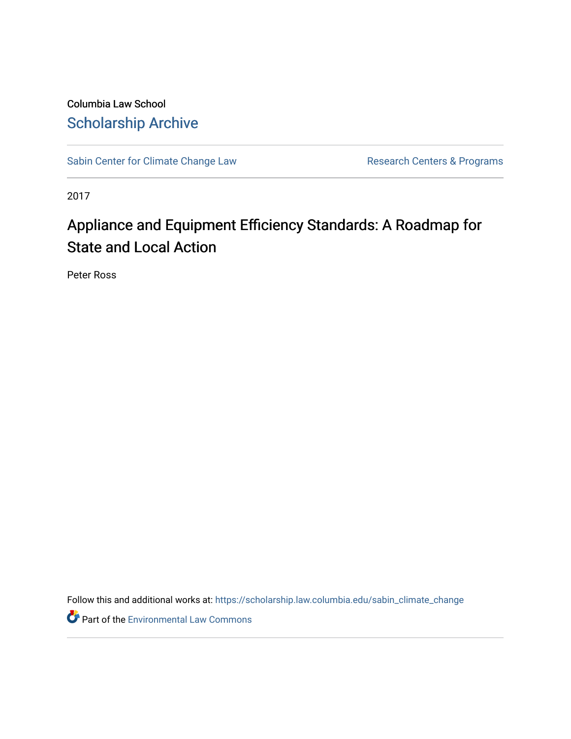Columbia Law School [Scholarship Archive](https://scholarship.law.columbia.edu/) 

[Sabin Center for Climate Change Law](https://scholarship.law.columbia.edu/sabin_climate_change) Research Centers & Programs

2017

# Appliance and Equipment Efficiency Standards: A Roadmap for State and Local Action

Peter Ross

Follow this and additional works at: [https://scholarship.law.columbia.edu/sabin\\_climate\\_change](https://scholarship.law.columbia.edu/sabin_climate_change?utm_source=scholarship.law.columbia.edu%2Fsabin_climate_change%2F93&utm_medium=PDF&utm_campaign=PDFCoverPages) 

Part of the [Environmental Law Commons](http://network.bepress.com/hgg/discipline/599?utm_source=scholarship.law.columbia.edu%2Fsabin_climate_change%2F93&utm_medium=PDF&utm_campaign=PDFCoverPages)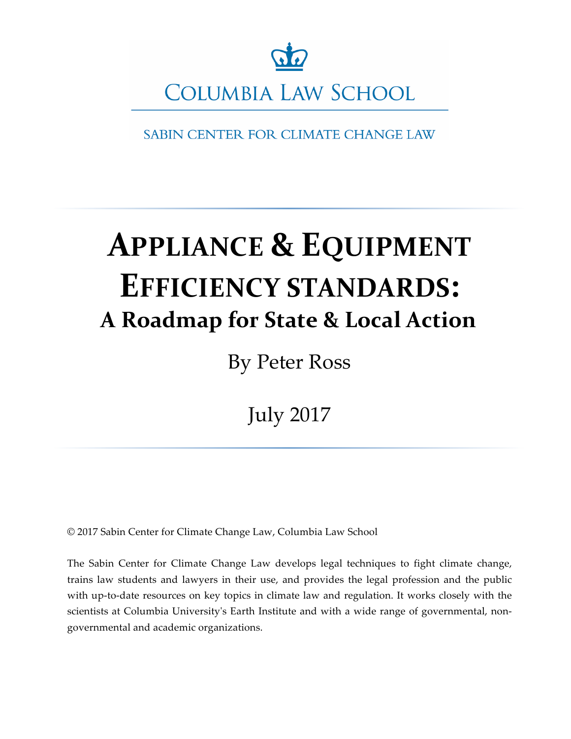

**COLUMBIA LAW SCHOOL** 

**SABIN CENTER FOR CLIMATE CHANGE LAW** 

# **APPLIANCE & EQUIPMENT EFFICIENCY STANDARDS: A Roadmap for State & Local Action**

By Peter Ross

July 2017

© 2017 Sabin Center for Climate Change Law, Columbia Law School

The Sabin Center for Climate Change Law develops legal techniques to fight climate change, trains law students and lawyers in their use, and provides the legal profession and the public with up-to-date resources on key topics in climate law and regulation. It works closely with the scientists at Columbia University's Earth Institute and with a wide range of governmental, nongovernmental and academic organizations.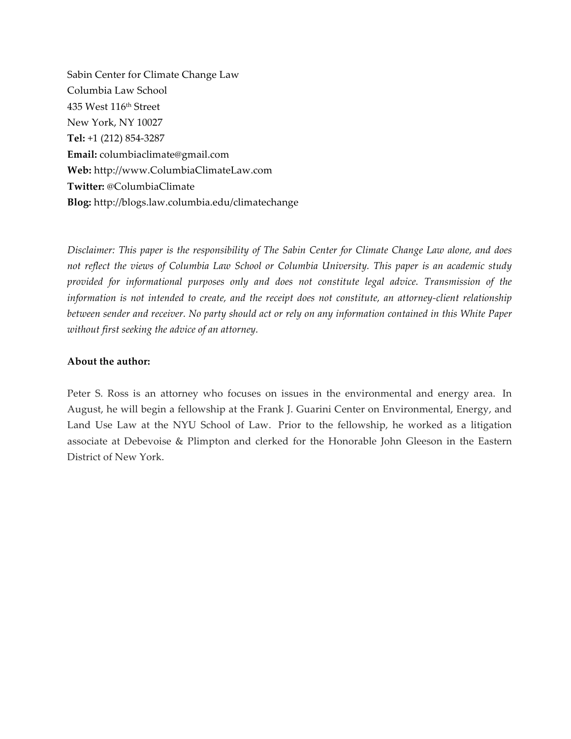Sabin Center for Climate Change Law Columbia Law School 435 West 116th Street New York, NY 10027 **Tel:** +1 (212) 854-3287 **Email:** columbiaclimate@gmail.com **Web:** http://www.ColumbiaClimateLaw.com **Twitter:** @ColumbiaClimate **Blog:** http://blogs.law.columbia.edu/climatechange

*Disclaimer: This paper is the responsibility of The Sabin Center for Climate Change Law alone, and does not reflect the views of Columbia Law School or Columbia University. This paper is an academic study provided for informational purposes only and does not constitute legal advice. Transmission of the information is not intended to create, and the receipt does not constitute, an attorney-client relationship between sender and receiver. No party should act or rely on any information contained in this White Paper without first seeking the advice of an attorney.* 

#### **About the author:**

Peter S. Ross is an attorney who focuses on issues in the environmental and energy area. In August, he will begin a fellowship at the Frank J. Guarini Center on Environmental, Energy, and Land Use Law at the NYU School of Law. Prior to the fellowship, he worked as a litigation associate at Debevoise & Plimpton and clerked for the Honorable John Gleeson in the Eastern District of New York.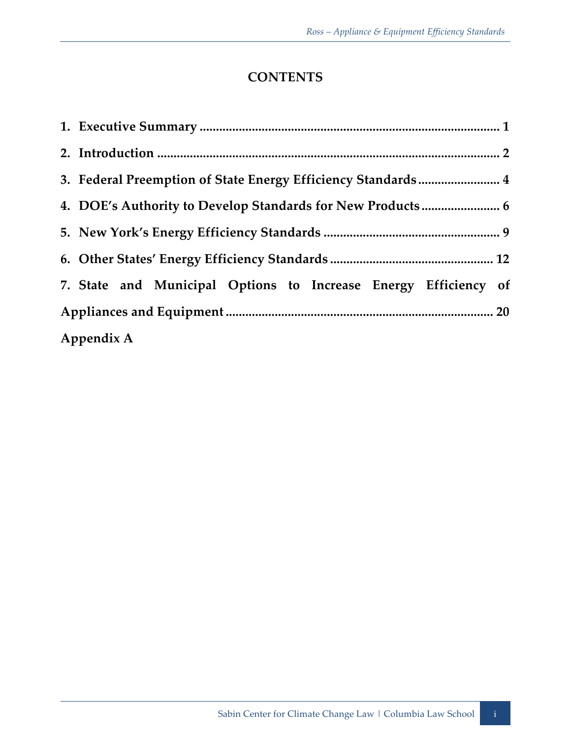# **CONTENTS**

| 3. Federal Preemption of State Energy Efficiency Standards 4    |  |  |  |  |  |  |  |
|-----------------------------------------------------------------|--|--|--|--|--|--|--|
| 4. DOE's Authority to Develop Standards for New Products  6     |  |  |  |  |  |  |  |
|                                                                 |  |  |  |  |  |  |  |
|                                                                 |  |  |  |  |  |  |  |
| 7. State and Municipal Options to Increase Energy Efficiency of |  |  |  |  |  |  |  |
|                                                                 |  |  |  |  |  |  |  |
| Appendix A                                                      |  |  |  |  |  |  |  |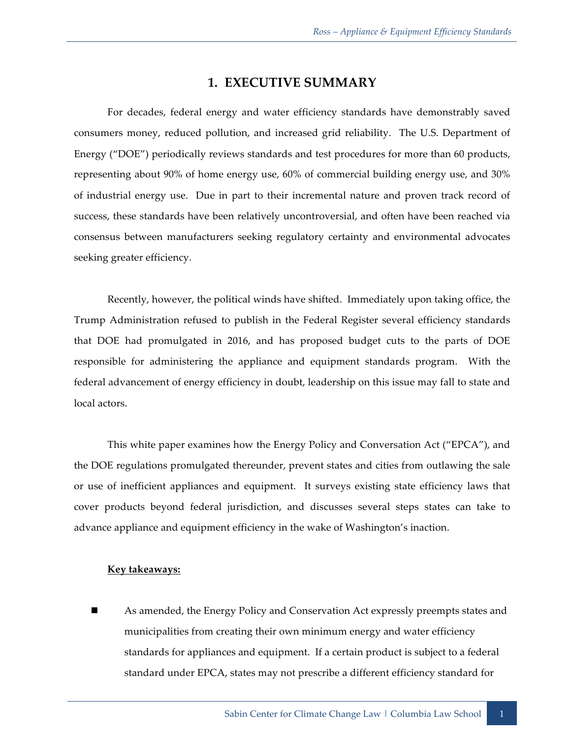## **1. EXECUTIVE SUMMARY**

For decades, federal energy and water efficiency standards have demonstrably saved consumers money, reduced pollution, and increased grid reliability. The U.S. Department of Energy ("DOE") periodically reviews standards and test procedures for more than 60 products, representing about 90% of home energy use, 60% of commercial building energy use, and 30% of industrial energy use. Due in part to their incremental nature and proven track record of success, these standards have been relatively uncontroversial, and often have been reached via consensus between manufacturers seeking regulatory certainty and environmental advocates seeking greater efficiency.

Recently, however, the political winds have shifted. Immediately upon taking office, the Trump Administration refused to publish in the Federal Register several efficiency standards that DOE had promulgated in 2016, and has proposed budget cuts to the parts of DOE responsible for administering the appliance and equipment standards program. With the federal advancement of energy efficiency in doubt, leadership on this issue may fall to state and local actors.

This white paper examines how the Energy Policy and Conversation Act ("EPCA"), and the DOE regulations promulgated thereunder, prevent states and cities from outlawing the sale or use of inefficient appliances and equipment. It surveys existing state efficiency laws that cover products beyond federal jurisdiction, and discusses several steps states can take to advance appliance and equipment efficiency in the wake of Washington's inaction.

#### **Key takeaways:**

As amended, the Energy Policy and Conservation Act expressly preempts states and municipalities from creating their own minimum energy and water efficiency standards for appliances and equipment. If a certain product is subject to a federal standard under EPCA, states may not prescribe a different efficiency standard for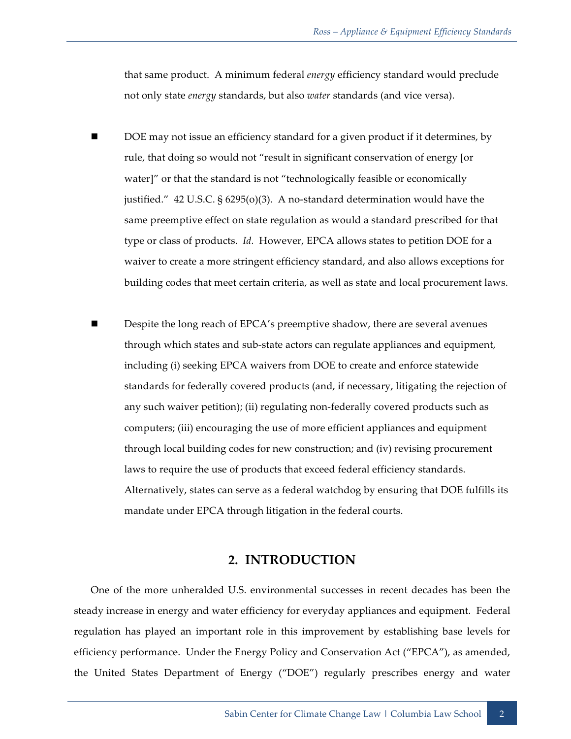that same product. A minimum federal *energy* efficiency standard would preclude not only state *energy* standards, but also *water* standards (and vice versa).

- DOE may not issue an efficiency standard for a given product if it determines, by rule, that doing so would not "result in significant conservation of energy [or water]" or that the standard is not "technologically feasible or economically justified." 42 U.S.C. § 6295(o)(3). A no-standard determination would have the same preemptive effect on state regulation as would a standard prescribed for that type or class of products. *Id.* However, EPCA allows states to petition DOE for a waiver to create a more stringent efficiency standard, and also allows exceptions for building codes that meet certain criteria, as well as state and local procurement laws.
- Despite the long reach of EPCA's preemptive shadow, there are several avenues through which states and sub-state actors can regulate appliances and equipment, including (i) seeking EPCA waivers from DOE to create and enforce statewide standards for federally covered products (and, if necessary, litigating the rejection of any such waiver petition); (ii) regulating non-federally covered products such as computers; (iii) encouraging the use of more efficient appliances and equipment through local building codes for new construction; and (iv) revising procurement laws to require the use of products that exceed federal efficiency standards. Alternatively, states can serve as a federal watchdog by ensuring that DOE fulfills its mandate under EPCA through litigation in the federal courts.

#### **2. INTRODUCTION**

One of the more unheralded U.S. environmental successes in recent decades has been the steady increase in energy and water efficiency for everyday appliances and equipment. Federal regulation has played an important role in this improvement by establishing base levels for efficiency performance. Under the Energy Policy and Conservation Act ("EPCA"), as amended, the United States Department of Energy ("DOE") regularly prescribes energy and water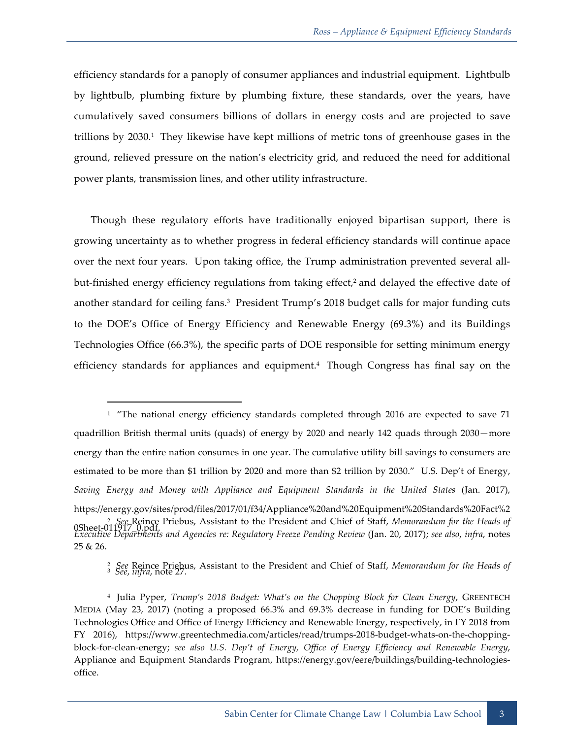efficiency standards for a panoply of consumer appliances and industrial equipment. Lightbulb by lightbulb, plumbing fixture by plumbing fixture, these standards, over the years, have cumulatively saved consumers billions of dollars in energy costs and are projected to save trillions by  $2030<sup>1</sup>$ . They likewise have kept millions of metric tons of greenhouse gases in the ground, relieved pressure on the nation's electricity grid, and reduced the need for additional power plants, transmission lines, and other utility infrastructure.

Though these regulatory efforts have traditionally enjoyed bipartisan support, there is growing uncertainty as to whether progress in federal efficiency standards will continue apace over the next four years. Upon taking office, the Trump administration prevented several allbut-finished energy efficiency regulations from taking effect $\lambda^2$  and delayed the effective date of another standard for ceiling fans.3 President Trump's 2018 budget calls for major funding cuts to the DOE's Office of Energy Efficiency and Renewable Energy (69.3%) and its Buildings Technologies Office (66.3%), the specific parts of DOE responsible for setting minimum energy efficiency standards for appliances and equipment.4 Though Congress has final say on the

 $1$  "The national energy efficiency standards completed through 2016 are expected to save 71 quadrillion British thermal units (quads) of energy by 2020 and nearly 142 quads through 2030—more energy than the entire nation consumes in one year. The cumulative utility bill savings to consumers are estimated to be more than \$1 trillion by 2020 and more than \$2 trillion by 2030." U.S. Dep't of Energy, *Saving Energy and Money with Appliance and Equipment Standards in the United States* (Jan. 2017), https://energy.gov/sites/prod/files/2017/01/f34/Appliance%20and%20Equipment%20Standards%20Fact%2 <sup>2</sup> *See* Reince Priebus, Assistant to the President and Chief of Staff, *Memorandum for the Heads of* **principle of** *Sheet*-011917\_0.pdf. *Executive Departments and Agencies re: Regulatory Freeze Pending Review* (Jan. 20, 2017); *see also*, *infra*, notes 25 & 26.

<sup>2</sup> *See* Reince Priebus, Assistant to the President and Chief of Staff, *Memorandum for the Heads of*  <sup>3</sup> *See*, *infra*, note 27.

<sup>4</sup> Julia Pyper, *Trump's 2018 Budget: What's on the Chopping Block for Clean Energy*, GREENTECH MEDIA (May 23, 2017) (noting a proposed 66.3% and 69.3% decrease in funding for DOE's Building Technologies Office and Office of Energy Efficiency and Renewable Energy, respectively, in FY 2018 from FY 2016), https://www.greentechmedia.com/articles/read/trumps-2018-budget-whats-on-the-choppingblock-for-clean-energy; *see also U.S. Dep't of Energy, Office of Energy Efficiency and Renewable Energy*, Appliance and Equipment Standards Program, https://energy.gov/eere/buildings/building-technologiesoffice.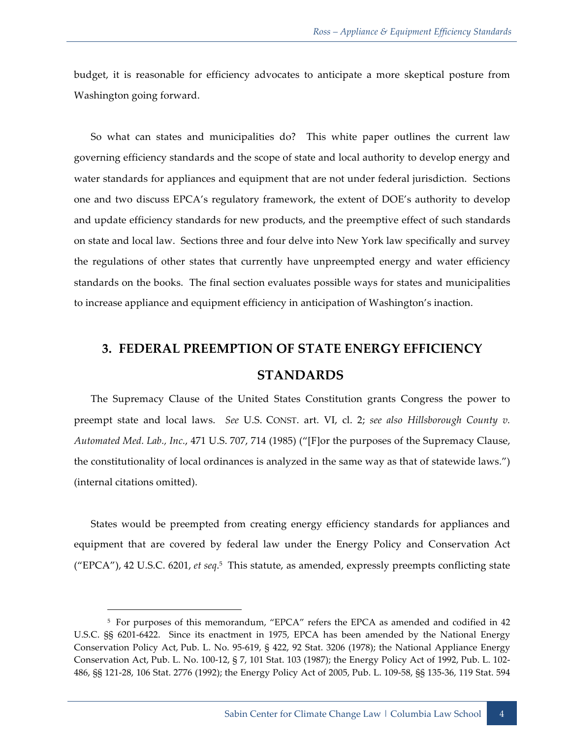budget, it is reasonable for efficiency advocates to anticipate a more skeptical posture from Washington going forward.

So what can states and municipalities do? This white paper outlines the current law governing efficiency standards and the scope of state and local authority to develop energy and water standards for appliances and equipment that are not under federal jurisdiction. Sections one and two discuss EPCA's regulatory framework, the extent of DOE's authority to develop and update efficiency standards for new products, and the preemptive effect of such standards on state and local law. Sections three and four delve into New York law specifically and survey the regulations of other states that currently have unpreempted energy and water efficiency standards on the books. The final section evaluates possible ways for states and municipalities to increase appliance and equipment efficiency in anticipation of Washington's inaction.

# **3. FEDERAL PREEMPTION OF STATE ENERGY EFFICIENCY STANDARDS**

The Supremacy Clause of the United States Constitution grants Congress the power to preempt state and local laws. *See* U.S. CONST. art. VI, cl. 2; *see also Hillsborough County v. Automated Med. Lab., Inc.*, 471 U.S. 707, 714 (1985) ("[F]or the purposes of the Supremacy Clause, the constitutionality of local ordinances is analyzed in the same way as that of statewide laws.") (internal citations omitted).

States would be preempted from creating energy efficiency standards for appliances and equipment that are covered by federal law under the Energy Policy and Conservation Act ("EPCA"), 42 U.S.C. 6201, *et seq*. 5 This statute, as amended, expressly preempts conflicting state

<sup>5</sup> For purposes of this memorandum, "EPCA" refers the EPCA as amended and codified in 42 U.S.C. §§ 6201-6422. Since its enactment in 1975, EPCA has been amended by the National Energy Conservation Policy Act, Pub. L. No. 95-619, § 422, 92 Stat. 3206 (1978); the National Appliance Energy Conservation Act, Pub. L. No. 100-12, § 7, 101 Stat. 103 (1987); the Energy Policy Act of 1992, Pub. L. 102- 486, §§ 121-28, 106 Stat. 2776 (1992); the Energy Policy Act of 2005, Pub. L. 109-58, §§ 135-36, 119 Stat. 594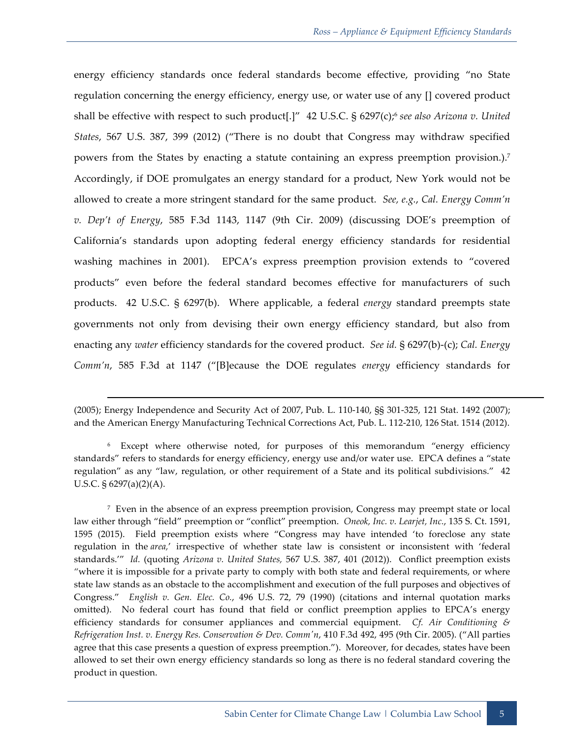energy efficiency standards once federal standards become effective, providing "no State regulation concerning the energy efficiency, energy use, or water use of any [] covered product shall be effective with respect to such product<sup>[1]"</sup> 42 U.S.C. § 6297(c);<sup>6</sup> see also Arizona v. United *States*, 567 U.S. 387, 399 (2012) ("There is no doubt that Congress may withdraw specified powers from the States by enacting a statute containing an express preemption provision.).<sup>7</sup> Accordingly, if DOE promulgates an energy standard for a product, New York would not be allowed to create a more stringent standard for the same product. *See, e.g.*, *Cal. Energy Comm'n v. Dep't of Energy*, 585 F.3d 1143, 1147 (9th Cir. 2009) (discussing DOE's preemption of California's standards upon adopting federal energy efficiency standards for residential washing machines in 2001). EPCA's express preemption provision extends to "covered products" even before the federal standard becomes effective for manufacturers of such products. 42 U.S.C. § 6297(b). Where applicable, a federal *energy* standard preempts state governments not only from devising their own energy efficiency standard, but also from enacting any *water* efficiency standards for the covered product. *See id.* § 6297(b)-(c); *Cal. Energy Comm'n*, 585 F.3d at 1147 ("[B]ecause the DOE regulates *energy* efficiency standards for

<sup>(2005);</sup> Energy Independence and Security Act of 2007, Pub. L. 110-140, §§ 301-325, 121 Stat. 1492 (2007); and the American Energy Manufacturing Technical Corrections Act, Pub. L. 112-210, 126 Stat. 1514 (2012).

<sup>6</sup> Except where otherwise noted, for purposes of this memorandum "energy efficiency standards" refers to standards for energy efficiency, energy use and/or water use. EPCA defines a "state regulation" as any "law, regulation, or other requirement of a State and its political subdivisions." 42 U.S.C.  $\S 6297(a)(2)(A)$ .

<sup>7</sup> Even in the absence of an express preemption provision, Congress may preempt state or local law either through "field" preemption or "conflict" preemption. *Oneok, Inc. v. Learjet, Inc.*, 135 S. Ct. 1591, 1595 (2015). Field preemption exists where "Congress may have intended 'to foreclose any state regulation in the *area,*' irrespective of whether state law is consistent or inconsistent with 'federal standards.'" *Id.* (quoting *Arizona v. United States,* 567 U.S. 387, 401 (2012)). Conflict preemption exists "where it is impossible for a private party to comply with both state and federal requirements, or where state law stands as an obstacle to the accomplishment and execution of the full purposes and objectives of Congress." *English v. Gen. Elec. Co.*, 496 U.S. 72, 79 (1990) (citations and internal quotation marks omitted). No federal court has found that field or conflict preemption applies to EPCA's energy efficiency standards for consumer appliances and commercial equipment. *Cf. Air Conditioning & Refrigeration Inst. v. Energy Res. Conservation & Dev. Comm'n*, 410 F.3d 492, 495 (9th Cir. 2005). ("All parties agree that this case presents a question of express preemption."). Moreover, for decades, states have been allowed to set their own energy efficiency standards so long as there is no federal standard covering the product in question.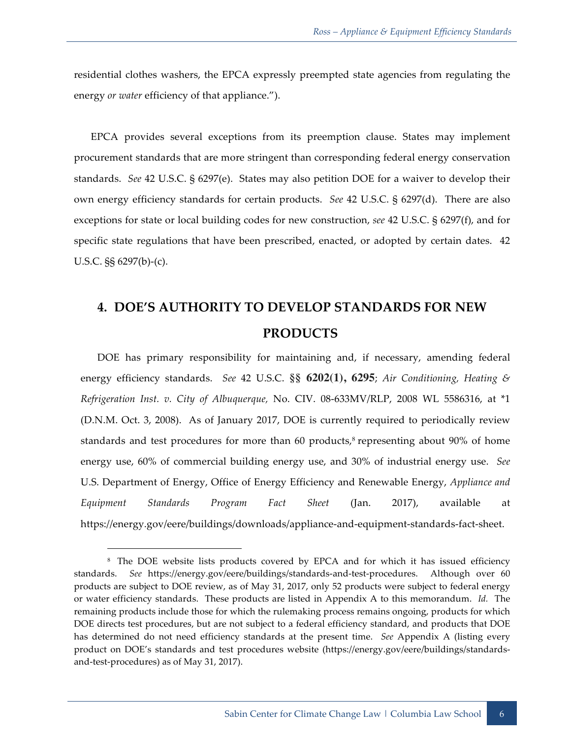residential clothes washers, the EPCA expressly preempted state agencies from regulating the energy *or water* efficiency of that appliance.").

EPCA provides several exceptions from its preemption clause. States may implement procurement standards that are more stringent than corresponding federal energy conservation standards. *See* 42 U.S.C. § 6297(e). States may also petition DOE for a waiver to develop their own energy efficiency standards for certain products. *See* 42 U.S.C. § 6297(d). There are also exceptions for state or local building codes for new construction, *see* 42 U.S.C. § 6297(f), and for specific state regulations that have been prescribed, enacted, or adopted by certain dates. 42 U.S.C. §§ 6297(b)-(c).

# **4. DOE'S AUTHORITY TO DEVELOP STANDARDS FOR NEW PRODUCTS**

DOE has primary responsibility for maintaining and, if necessary, amending federal energy efficiency standards. *See* 42 U.S.C. **§§ 6202(1), 6295**; *Air Conditioning, Heating & Refrigeration Inst. v. City of Albuquerque,* No. CIV. 08-633MV/RLP, 2008 WL 5586316, at \*1 (D.N.M. Oct. 3, 2008). As of January 2017, DOE is currently required to periodically review standards and test procedures for more than 60 products,<sup>8</sup> representing about 90% of home energy use, 60% of commercial building energy use, and 30% of industrial energy use. *See* U.S. Department of Energy, Office of Energy Efficiency and Renewable Energy, *Appliance and Equipment Standards Program Fact Sheet* (Jan. 2017), available at https://energy.gov/eere/buildings/downloads/appliance-and-equipment-standards-fact-sheet.

-

<sup>8</sup> The DOE website lists products covered by EPCA and for which it has issued efficiency standards. *See* https://energy.gov/eere/buildings/standards-and-test-procedures. Although over 60 products are subject to DOE review, as of May 31, 2017, only 52 products were subject to federal energy or water efficiency standards. These products are listed in Appendix A to this memorandum. *Id.* The remaining products include those for which the rulemaking process remains ongoing, products for which DOE directs test procedures, but are not subject to a federal efficiency standard, and products that DOE has determined do not need efficiency standards at the present time. *See* Appendix A (listing every product on DOE's standards and test procedures website (https://energy.gov/eere/buildings/standardsand-test-procedures) as of May 31, 2017).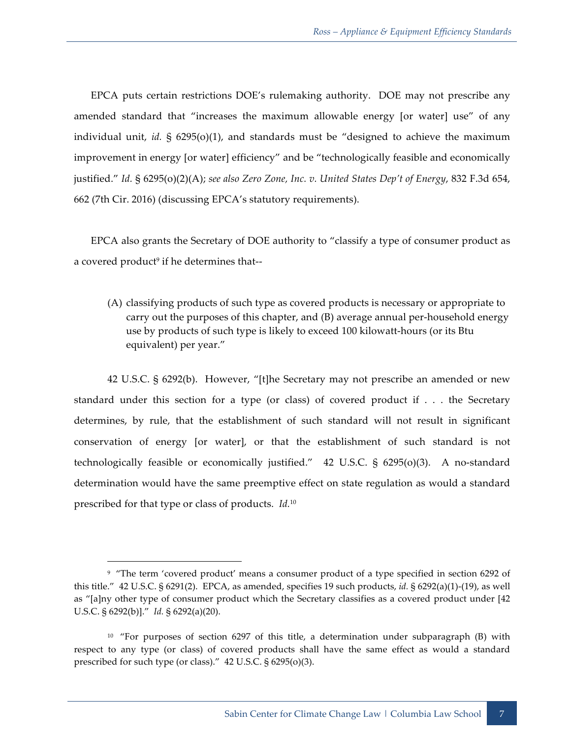EPCA puts certain restrictions DOE's rulemaking authority. DOE may not prescribe any amended standard that "increases the maximum allowable energy [or water] use" of any individual unit, *id.* § 6295(o)(1), and standards must be "designed to achieve the maximum improvement in energy [or water] efficiency" and be "technologically feasible and economically justified." *Id.* § 6295(o)(2)(A); *see also Zero Zone, Inc. v. United States Dep't of Energy*, 832 F.3d 654, 662 (7th Cir. 2016) (discussing EPCA's statutory requirements).

EPCA also grants the Secretary of DOE authority to "classify a type of consumer product as a covered product<sup>9</sup> if he determines that--

(A) classifying products of such type as covered products is necessary or appropriate to carry out the purposes of this chapter, and (B) average annual per-household energy use by products of such type is likely to exceed 100 kilowatt-hours (or its Btu equivalent) per year."

42 U.S.C. § 6292(b). However, "[t]he Secretary may not prescribe an amended or new standard under this section for a type (or class) of covered product if . . . the Secretary determines, by rule, that the establishment of such standard will not result in significant conservation of energy [or water], or that the establishment of such standard is not technologically feasible or economically justified." 42 U.S.C. § 6295(o)(3). A no-standard determination would have the same preemptive effect on state regulation as would a standard prescribed for that type or class of products. *Id.*<sup>10</sup>

<sup>&</sup>lt;sup>9</sup> "The term 'covered product' means a consumer product of a type specified in section 6292 of this title." 42 U.S.C. § 6291(2). EPCA, as amended, specifies 19 such products, *id.* § 6292(a)(1)-(19), as well as "[a]ny other type of consumer product which the Secretary classifies as a covered product under [42 U.S.C. § 6292(b)]." *Id.* § 6292(a)(20).

<sup>10 &</sup>quot;For purposes of section 6297 of this title, a determination under subparagraph (B) with respect to any type (or class) of covered products shall have the same effect as would a standard prescribed for such type (or class)." 42 U.S.C. § 6295(o)(3).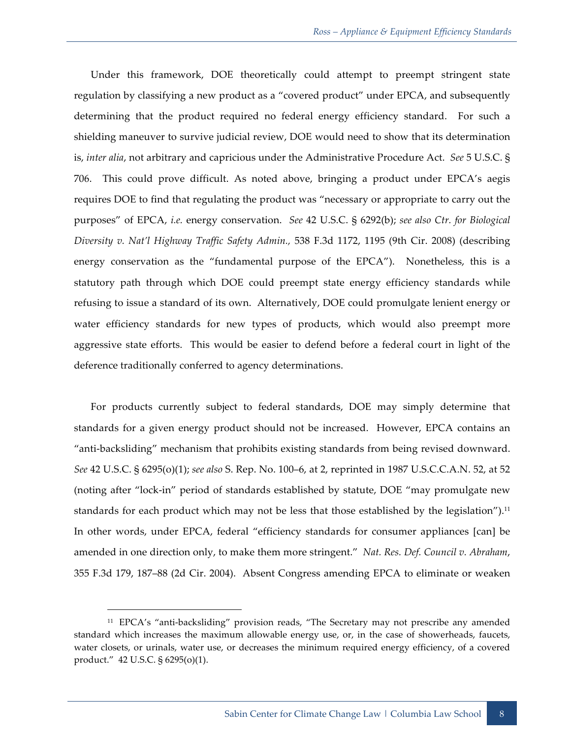Under this framework, DOE theoretically could attempt to preempt stringent state regulation by classifying a new product as a "covered product" under EPCA, and subsequently determining that the product required no federal energy efficiency standard. For such a shielding maneuver to survive judicial review, DOE would need to show that its determination is, *inter alia*, not arbitrary and capricious under the Administrative Procedure Act. *See* 5 U.S.C. § 706. This could prove difficult. As noted above, bringing a product under EPCA's aegis requires DOE to find that regulating the product was "necessary or appropriate to carry out the purposes" of EPCA, *i.e.* energy conservation. *See* 42 U.S.C. § 6292(b); *see also Ctr. for Biological Diversity v. Nat'l Highway Traffic Safety Admin.,* 538 F.3d 1172, 1195 (9th Cir. 2008) (describing energy conservation as the "fundamental purpose of the EPCA"). Nonetheless, this is a statutory path through which DOE could preempt state energy efficiency standards while refusing to issue a standard of its own. Alternatively, DOE could promulgate lenient energy or water efficiency standards for new types of products, which would also preempt more aggressive state efforts. This would be easier to defend before a federal court in light of the deference traditionally conferred to agency determinations.

For products currently subject to federal standards, DOE may simply determine that standards for a given energy product should not be increased. However, EPCA contains an "anti-backsliding" mechanism that prohibits existing standards from being revised downward. *See* 42 U.S.C. § 6295(o)(1); *see also* S. Rep. No. 100–6, at 2, reprinted in 1987 U.S.C.C.A.N. 52, at 52 (noting after "lock-in" period of standards established by statute, DOE "may promulgate new standards for each product which may not be less that those established by the legislation").<sup>11</sup> In other words, under EPCA, federal "efficiency standards for consumer appliances [can] be amended in one direction only, to make them more stringent." *Nat. Res. Def. Council v. Abraham*, 355 F.3d 179, 187–88 (2d Cir. 2004). Absent Congress amending EPCA to eliminate or weaken

<sup>11</sup> EPCA's "anti-backsliding" provision reads, "The Secretary may not prescribe any amended standard which increases the maximum allowable energy use, or, in the case of showerheads, faucets, water closets, or urinals, water use, or decreases the minimum required energy efficiency, of a covered product." 42 U.S.C. § 6295(o)(1).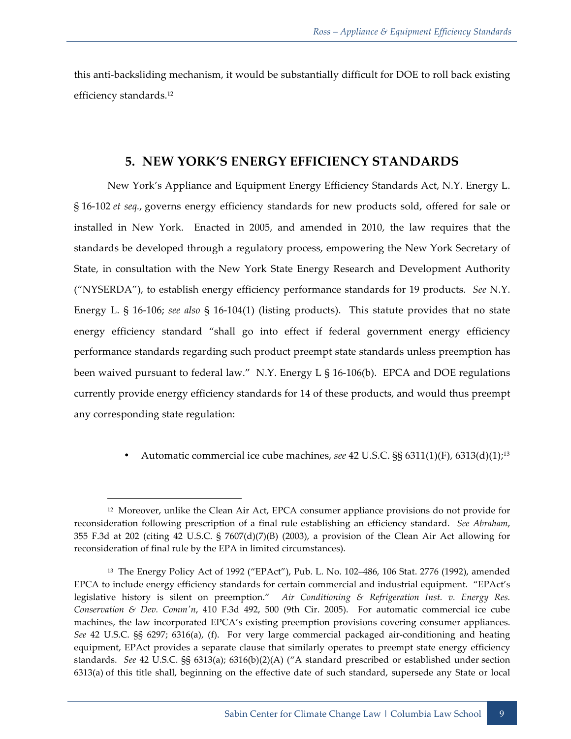this anti-backsliding mechanism, it would be substantially difficult for DOE to roll back existing efficiency standards.12

#### **5. NEW YORK'S ENERGY EFFICIENCY STANDARDS**

New York's Appliance and Equipment Energy Efficiency Standards Act, N.Y. Energy L. § 16-102 *et seq.*, governs energy efficiency standards for new products sold, offered for sale or installed in New York. Enacted in 2005, and amended in 2010, the law requires that the standards be developed through a regulatory process, empowering the New York Secretary of State, in consultation with the New York State Energy Research and Development Authority ("NYSERDA"), to establish energy efficiency performance standards for 19 products. *See* N.Y. Energy L. § 16-106; *see also* § 16-104(1) (listing products). This statute provides that no state energy efficiency standard "shall go into effect if federal government energy efficiency performance standards regarding such product preempt state standards unless preemption has been waived pursuant to federal law." N.Y. Energy L § 16-106(b). EPCA and DOE regulations currently provide energy efficiency standards for 14 of these products, and would thus preempt any corresponding state regulation:

• Automatic commercial ice cube machines, *see* 42 U.S.C. §§ 6311(1)(F), 6313(d)(1);13

<sup>12</sup> Moreover, unlike the Clean Air Act, EPCA consumer appliance provisions do not provide for reconsideration following prescription of a final rule establishing an efficiency standard. *See Abraham*, 355 F.3d at 202 (citing 42 U.S.C. § 7607(d)(7)(B) (2003), a provision of the Clean Air Act allowing for reconsideration of final rule by the EPA in limited circumstances).

<sup>13</sup> The Energy Policy Act of 1992 ("EPAct"), Pub. L. No. 102–486, 106 Stat. 2776 (1992), amended EPCA to include energy efficiency standards for certain commercial and industrial equipment. "EPAct's legislative history is silent on preemption." *Air Conditioning & Refrigeration Inst. v. Energy Res. Conservation & Dev. Comm'n*, 410 F.3d 492, 500 (9th Cir. 2005). For automatic commercial ice cube machines, the law incorporated EPCA's existing preemption provisions covering consumer appliances. *See* 42 U.S.C. §§ 6297; 6316(a), (f). For very large commercial packaged air-conditioning and heating equipment, EPAct provides a separate clause that similarly operates to preempt state energy efficiency standards. *See* 42 U.S.C. §§ 6313(a); 6316(b)(2)(A) ("A standard prescribed or established under section 6313(a) of this title shall, beginning on the effective date of such standard, supersede any State or local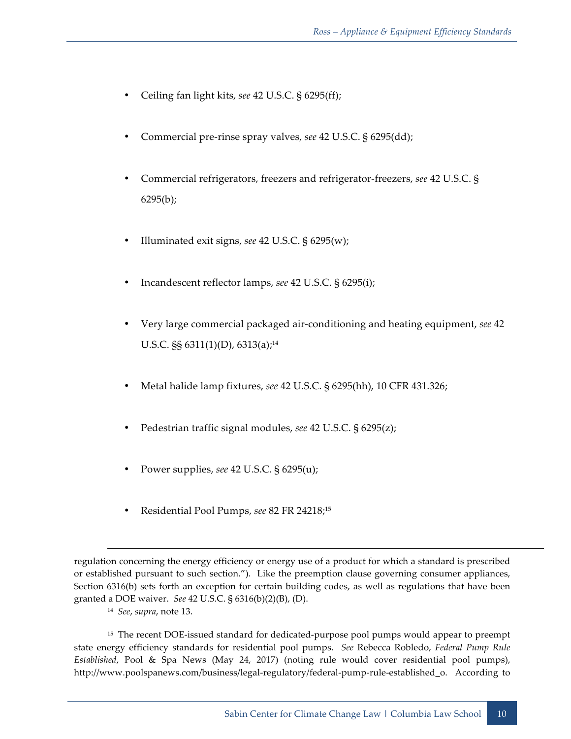- Ceiling fan light kits, *see* 42 U.S.C. § 6295(ff);
- Commercial pre-rinse spray valves, *see* 42 U.S.C. § 6295(dd);
- Commercial refrigerators, freezers and refrigerator-freezers, *see* 42 U.S.C. § 6295(b);
- Illuminated exit signs, *see* 42 U.S.C. § 6295(w);
- Incandescent reflector lamps, *see* 42 U.S.C. § 6295(i);
- Very large commercial packaged air-conditioning and heating equipment, *see* 42 U.S.C. §§ 6311(1)(D), 6313(a);<sup>14</sup>
- Metal halide lamp fixtures, *see* 42 U.S.C. § 6295(hh), 10 CFR 431.326;
- Pedestrian traffic signal modules, *see* 42 U.S.C. § 6295(z);
- Power supplies, *see* 42 U.S.C. § 6295(u);
- Residential Pool Pumps, *see* 82 FR 24218;15

-

regulation concerning the energy efficiency or energy use of a product for which a standard is prescribed or established pursuant to such section."). Like the preemption clause governing consumer appliances, Section 6316(b) sets forth an exception for certain building codes, as well as regulations that have been granted a DOE waiver. *See* 42 U.S.C. § 6316(b)(2)(B), (D).

<sup>14</sup> *See*, *supra*, note 13.

<sup>&</sup>lt;sup>15</sup> The recent DOE-issued standard for dedicated-purpose pool pumps would appear to preempt state energy efficiency standards for residential pool pumps. *See* Rebecca Robledo, *Federal Pump Rule Established*, Pool & Spa News (May 24, 2017) (noting rule would cover residential pool pumps), http://www.poolspanews.com/business/legal-regulatory/federal-pump-rule-established\_o. According to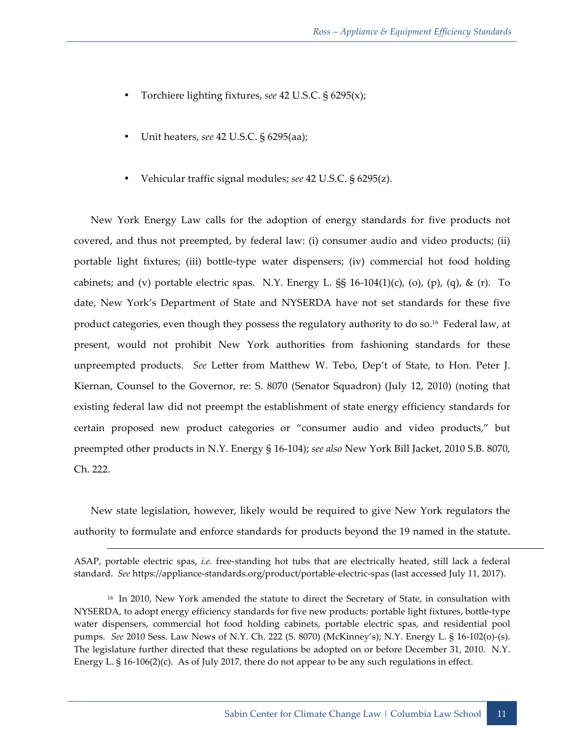- Torchiere lighting fixtures, *see* 42 U.S.C. § 6295(x);
- Unit heaters, *see* 42 U.S.C. § 6295(aa);
- Vehicular traffic signal modules; *see* 42 U.S.C. § 6295(z).

New York Energy Law calls for the adoption of energy standards for five products not covered, and thus not preempted, by federal law: (i) consumer audio and video products; (ii) portable light fixtures; (iii) bottle-type water dispensers; (iv) commercial hot food holding cabinets; and (v) portable electric spas. N.Y. Energy L.  $\S$  16-104(1)(c), (o), (p), (q), & (r). To date, New York's Department of State and NYSERDA have not set standards for these five product categories, even though they possess the regulatory authority to do so.<sup>16</sup> Federal law, at present, would not prohibit New York authorities from fashioning standards for these unpreempted products. *See* Letter from Matthew W. Tebo, Dep't of State, to Hon. Peter J. Kiernan, Counsel to the Governor, re: S. 8070 (Senator Squadron) (July 12, 2010) (noting that existing federal law did not preempt the establishment of state energy efficiency standards for certain proposed new product categories or "consumer audio and video products," but preempted other products in N.Y. Energy § 16-104); *see also* New York Bill Jacket, 2010 S.B. 8070, Ch. 222.

New state legislation, however, likely would be required to give New York regulators the authority to formulate and enforce standards for products beyond the 19 named in the statute.

-

ASAP, portable electric spas, *i.e.* free-standing hot tubs that are electrically heated, still lack a federal standard. *See* https://appliance-standards.org/product/portable-electric-spas (last accessed July 11, 2017).

<sup>&</sup>lt;sup>16</sup> In 2010, New York amended the statute to direct the Secretary of State, in consultation with NYSERDA, to adopt energy efficiency standards for five new products: portable light fixtures, bottle-type water dispensers, commercial hot food holding cabinets, portable electric spas, and residential pool pumps. *See* 2010 Sess. Law News of N.Y. Ch. 222 (S. 8070) (McKinney's); N.Y. Energy L. § 16-102(o)-(s). The legislature further directed that these regulations be adopted on or before December 31, 2010. N.Y. Energy L. § 16-106(2)(c). As of July 2017, there do not appear to be any such regulations in effect.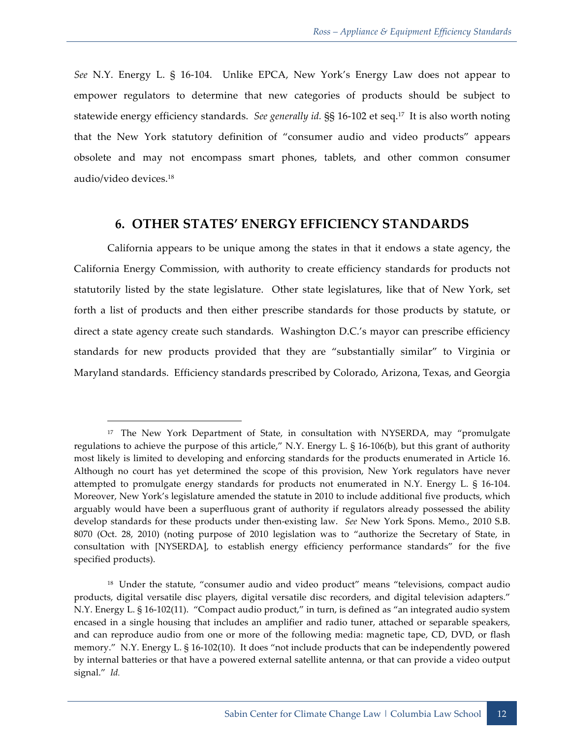*See* N.Y. Energy L. § 16-104. Unlike EPCA, New York's Energy Law does not appear to empower regulators to determine that new categories of products should be subject to statewide energy efficiency standards. *See generally id.* §§ 16-102 et seq.17 It is also worth noting that the New York statutory definition of "consumer audio and video products" appears obsolete and may not encompass smart phones, tablets, and other common consumer audio/video devices.18

#### **6. OTHER STATES' ENERGY EFFICIENCY STANDARDS**

California appears to be unique among the states in that it endows a state agency, the California Energy Commission, with authority to create efficiency standards for products not statutorily listed by the state legislature. Other state legislatures, like that of New York, set forth a list of products and then either prescribe standards for those products by statute, or direct a state agency create such standards. Washington D.C.'s mayor can prescribe efficiency standards for new products provided that they are "substantially similar" to Virginia or Maryland standards. Efficiency standards prescribed by Colorado, Arizona, Texas, and Georgia

<sup>&</sup>lt;sup>17</sup> The New York Department of State, in consultation with NYSERDA, may "promulgate regulations to achieve the purpose of this article," N.Y. Energy L. § 16-106(b), but this grant of authority most likely is limited to developing and enforcing standards for the products enumerated in Article 16. Although no court has yet determined the scope of this provision, New York regulators have never attempted to promulgate energy standards for products not enumerated in N.Y. Energy L. § 16-104. Moreover, New York's legislature amended the statute in 2010 to include additional five products, which arguably would have been a superfluous grant of authority if regulators already possessed the ability develop standards for these products under then-existing law. *See* New York Spons. Memo., 2010 S.B. 8070 (Oct. 28, 2010) (noting purpose of 2010 legislation was to "authorize the Secretary of State, in consultation with [NYSERDA], to establish energy efficiency performance standards" for the five specified products).

<sup>&</sup>lt;sup>18</sup> Under the statute, "consumer audio and video product" means "televisions, compact audio products, digital versatile disc players, digital versatile disc recorders, and digital television adapters." N.Y. Energy L. § 16-102(11). "Compact audio product," in turn, is defined as "an integrated audio system encased in a single housing that includes an amplifier and radio tuner, attached or separable speakers, and can reproduce audio from one or more of the following media: magnetic tape, CD, DVD, or flash memory." N.Y. Energy L. § 16-102(10). It does "not include products that can be independently powered by internal batteries or that have a powered external satellite antenna, or that can provide a video output signal." *Id.*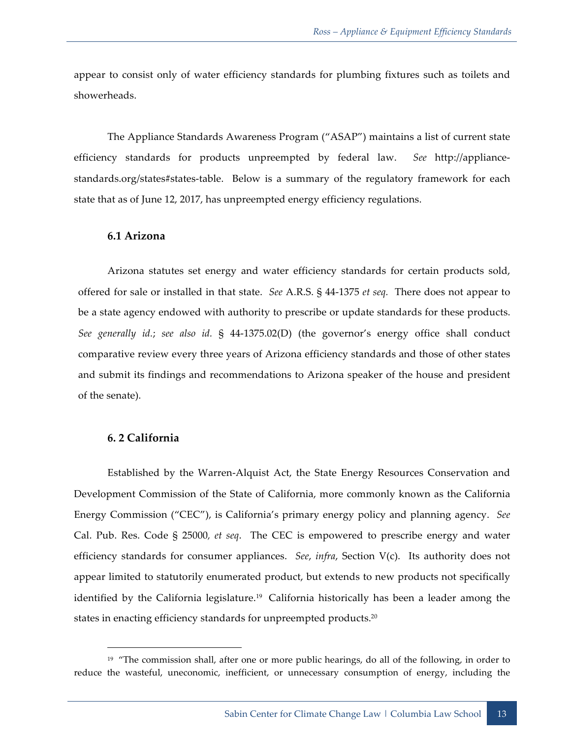appear to consist only of water efficiency standards for plumbing fixtures such as toilets and showerheads.

The Appliance Standards Awareness Program ("ASAP") maintains a list of current state efficiency standards for products unpreempted by federal law. *See* http://appliancestandards.org/states#states-table. Below is a summary of the regulatory framework for each state that as of June 12, 2017, has unpreempted energy efficiency regulations.

#### **6.1 Arizona**

Arizona statutes set energy and water efficiency standards for certain products sold, offered for sale or installed in that state. *See* A.R.S. § 44-1375 *et seq.* There does not appear to be a state agency endowed with authority to prescribe or update standards for these products. *See generally id.*; *see also id.* § 44-1375.02(D) (the governor's energy office shall conduct comparative review every three years of Arizona efficiency standards and those of other states and submit its findings and recommendations to Arizona speaker of the house and president of the senate).

#### **6. 2 California**

<u>.</u>

Established by the Warren-Alquist Act, the State Energy Resources Conservation and Development Commission of the State of California, more commonly known as the California Energy Commission ("CEC"), is California's primary energy policy and planning agency. *See* Cal. Pub. Res. Code § 25000*, et seq*. The CEC is empowered to prescribe energy and water efficiency standards for consumer appliances. *See*, *infra*, Section V(c). Its authority does not appear limited to statutorily enumerated product, but extends to new products not specifically identified by the California legislature.<sup>19</sup> California historically has been a leader among the states in enacting efficiency standards for unpreempted products.<sup>20</sup>

<sup>&</sup>lt;sup>19</sup> "The commission shall, after one or more public hearings, do all of the following, in order to reduce the wasteful, uneconomic, inefficient, or unnecessary consumption of energy, including the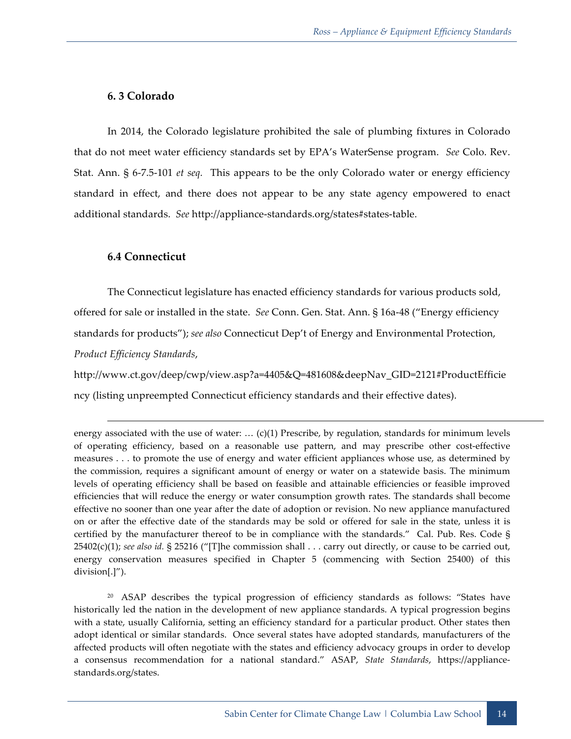#### **6. 3 Colorado**

In 2014, the Colorado legislature prohibited the sale of plumbing fixtures in Colorado that do not meet water efficiency standards set by EPA's WaterSense program. *See* Colo. Rev. Stat. Ann. § 6-7.5-101 *et seq.* This appears to be the only Colorado water or energy efficiency standard in effect, and there does not appear to be any state agency empowered to enact additional standards. *See* http://appliance-standards.org/states#states-table.

#### **6.4 Connecticut**

**.** 

The Connecticut legislature has enacted efficiency standards for various products sold, offered for sale or installed in the state. *See* Conn. Gen. Stat. Ann. § 16a-48 ("Energy efficiency standards for products"); *see also* Connecticut Dep't of Energy and Environmental Protection, *Product Efficiency Standards*,

http://www.ct.gov/deep/cwp/view.asp?a=4405&Q=481608&deepNav\_GID=2121#ProductEfficie ncy (listing unpreempted Connecticut efficiency standards and their effective dates).

20 ASAP describes the typical progression of efficiency standards as follows: "States have historically led the nation in the development of new appliance standards. A typical progression begins with a state, usually California, setting an efficiency standard for a particular product. Other states then adopt identical or similar standards. Once several states have adopted standards, manufacturers of the affected products will often negotiate with the states and efficiency advocacy groups in order to develop a consensus recommendation for a national standard." ASAP, *State Standards*, https://appliancestandards.org/states.

energy associated with the use of water: ... (c)(1) Prescribe, by regulation, standards for minimum levels of operating efficiency, based on a reasonable use pattern, and may prescribe other cost-effective measures . . . to promote the use of energy and water efficient appliances whose use, as determined by the commission, requires a significant amount of energy or water on a statewide basis. The minimum levels of operating efficiency shall be based on feasible and attainable efficiencies or feasible improved efficiencies that will reduce the energy or water consumption growth rates. The standards shall become effective no sooner than one year after the date of adoption or revision. No new appliance manufactured on or after the effective date of the standards may be sold or offered for sale in the state, unless it is certified by the manufacturer thereof to be in compliance with the standards." Cal. Pub. Res. Code § 25402(c)(1); *see also id.* § 25216 ("[T]he commission shall . . . carry out directly, or cause to be carried out, energy conservation measures specified in Chapter 5 (commencing with Section 25400) of this division[.]").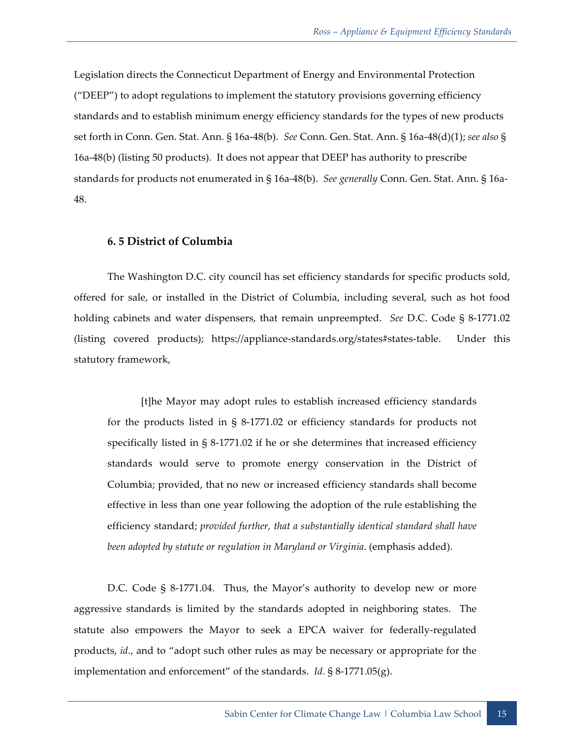Legislation directs the Connecticut Department of Energy and Environmental Protection ("DEEP") to adopt regulations to implement the statutory provisions governing efficiency standards and to establish minimum energy efficiency standards for the types of new products set forth in Conn. Gen. Stat. Ann. § 16a-48(b). *See* Conn. Gen. Stat. Ann. § 16a-48(d)(1); *see also* § 16a-48(b) (listing 50 products). It does not appear that DEEP has authority to prescribe standards for products not enumerated in § 16a-48(b). *See generally* Conn. Gen. Stat. Ann. § 16a-48.

#### **6. 5 District of Columbia**

The Washington D.C. city council has set efficiency standards for specific products sold, offered for sale, or installed in the District of Columbia, including several, such as hot food holding cabinets and water dispensers, that remain unpreempted. *See* D.C. Code § 8-1771.02 (listing covered products); https://appliance-standards.org/states#states-table. Under this statutory framework,

[t]he Mayor may adopt rules to establish increased efficiency standards for the products listed in § 8-1771.02 or efficiency standards for products not specifically listed in § 8-1771.02 if he or she determines that increased efficiency standards would serve to promote energy conservation in the District of Columbia; provided, that no new or increased efficiency standards shall become effective in less than one year following the adoption of the rule establishing the efficiency standard; *provided further, that a substantially identical standard shall have been adopted by statute or regulation in Maryland or Virginia*. (emphasis added).

D.C. Code § 8-1771.04. Thus, the Mayor's authority to develop new or more aggressive standards is limited by the standards adopted in neighboring states. The statute also empowers the Mayor to seek a EPCA waiver for federally-regulated products, *id.*, and to "adopt such other rules as may be necessary or appropriate for the implementation and enforcement" of the standards. *Id.* § 8-1771.05(g).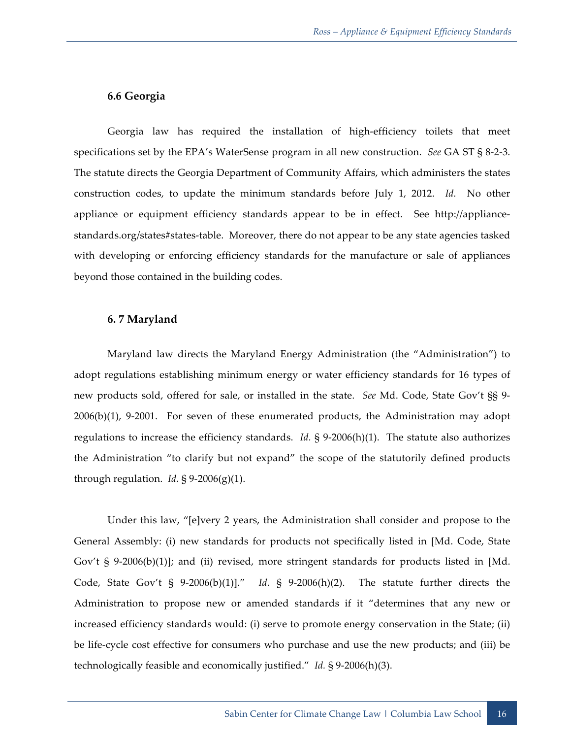#### **6.6 Georgia**

Georgia law has required the installation of high-efficiency toilets that meet specifications set by the EPA's WaterSense program in all new construction. *See* GA ST § 8-2-3. The statute directs the Georgia Department of Community Affairs, which administers the states construction codes, to update the minimum standards before July 1, 2012. *Id.* No other appliance or equipment efficiency standards appear to be in effect. See http://appliancestandards.org/states#states-table. Moreover, there do not appear to be any state agencies tasked with developing or enforcing efficiency standards for the manufacture or sale of appliances beyond those contained in the building codes.

#### **6. 7 Maryland**

Maryland law directs the Maryland Energy Administration (the "Administration") to adopt regulations establishing minimum energy or water efficiency standards for 16 types of new products sold, offered for sale, or installed in the state. *See* Md. Code, State Gov't §§ 9- 2006(b)(1), 9-2001. For seven of these enumerated products, the Administration may adopt regulations to increase the efficiency standards. *Id.* § 9-2006(h)(1). The statute also authorizes the Administration "to clarify but not expand" the scope of the statutorily defined products through regulation. *Id.*  $\S 9-2006(g)(1)$ .

Under this law, "[e]very 2 years, the Administration shall consider and propose to the General Assembly: (i) new standards for products not specifically listed in [Md. Code, State Gov't § 9-2006(b)(1)]; and (ii) revised, more stringent standards for products listed in [Md. Code, State Gov't  $\S$  9-2006(b)(1)]." *Id.*  $\S$  9-2006(h)(2). The statute further directs the Administration to propose new or amended standards if it "determines that any new or increased efficiency standards would: (i) serve to promote energy conservation in the State; (ii) be life-cycle cost effective for consumers who purchase and use the new products; and (iii) be technologically feasible and economically justified." *Id.* § 9-2006(h)(3).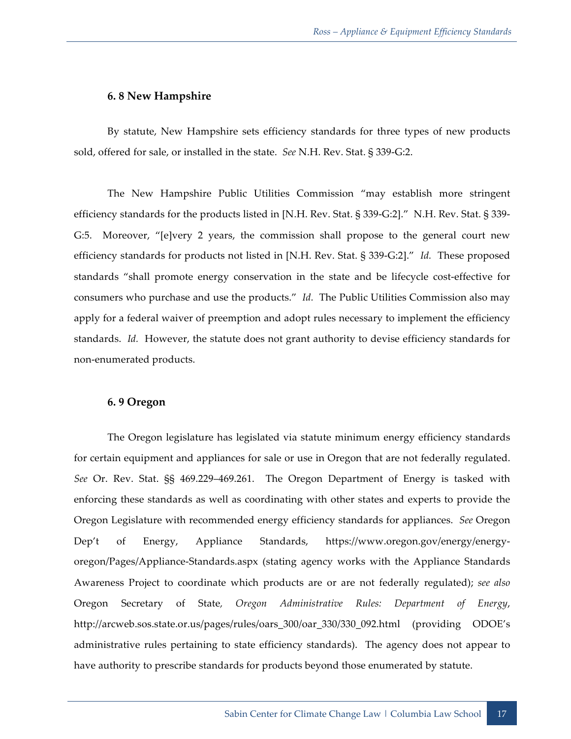#### **6. 8 New Hampshire**

By statute, New Hampshire sets efficiency standards for three types of new products sold, offered for sale, or installed in the state. *See* N.H. Rev. Stat. § 339-G:2.

The New Hampshire Public Utilities Commission "may establish more stringent efficiency standards for the products listed in [N.H. Rev. Stat. § 339-G:2]." N.H. Rev. Stat. § 339- G:5. Moreover, "[e]very 2 years, the commission shall propose to the general court new efficiency standards for products not listed in [N.H. Rev. Stat. § 339-G:2]." *Id.* These proposed standards "shall promote energy conservation in the state and be lifecycle cost-effective for consumers who purchase and use the products." *Id.* The Public Utilities Commission also may apply for a federal waiver of preemption and adopt rules necessary to implement the efficiency standards. *Id.* However, the statute does not grant authority to devise efficiency standards for non-enumerated products.

#### **6. 9 Oregon**

The Oregon legislature has legislated via statute minimum energy efficiency standards for certain equipment and appliances for sale or use in Oregon that are not federally regulated. *See* Or. Rev. Stat. §§ 469.229–469.261. The Oregon Department of Energy is tasked with enforcing these standards as well as coordinating with other states and experts to provide the Oregon Legislature with recommended energy efficiency standards for appliances. *See* Oregon Dep't of Energy, Appliance Standards, https://www.oregon.gov/energy/energyoregon/Pages/Appliance-Standards.aspx (stating agency works with the Appliance Standards Awareness Project to coordinate which products are or are not federally regulated); *see also* Oregon Secretary of State*, Oregon Administrative Rules: Department of Energy*, http://arcweb.sos.state.or.us/pages/rules/oars\_300/oar\_330/330\_092.html (providing ODOE's administrative rules pertaining to state efficiency standards). The agency does not appear to have authority to prescribe standards for products beyond those enumerated by statute.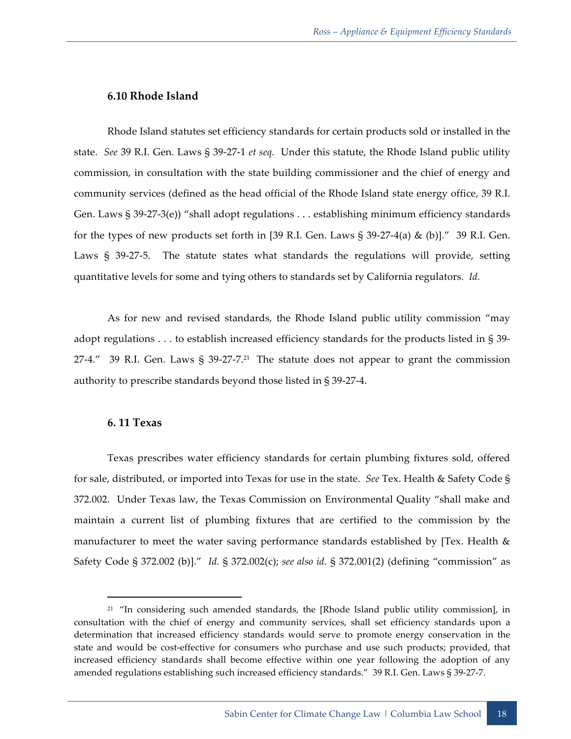#### **6.10 Rhode Island**

Rhode Island statutes set efficiency standards for certain products sold or installed in the state. *See* 39 R.I. Gen. Laws § 39-27-1 *et seq.* Under this statute, the Rhode Island public utility commission, in consultation with the state building commissioner and the chief of energy and community services (defined as the head official of the Rhode Island state energy office, 39 R.I. Gen. Laws § 39-27-3(e)) "shall adopt regulations . . . establishing minimum efficiency standards for the types of new products set forth in [39 R.I. Gen. Laws  $\S 39-27-4$ (a) & (b)]." 39 R.I. Gen. Laws § 39-27-5. The statute states what standards the regulations will provide, setting quantitative levels for some and tying others to standards set by California regulators. *Id.*

As for new and revised standards, the Rhode Island public utility commission "may adopt regulations . . . to establish increased efficiency standards for the products listed in § 39- 27-4." 39 R.I. Gen. Laws  $\S$  39-27-7.<sup>21</sup> The statute does not appear to grant the commission authority to prescribe standards beyond those listed in § 39-27-4.

#### **6. 11 Texas**

<u>.</u>

Texas prescribes water efficiency standards for certain plumbing fixtures sold, offered for sale, distributed, or imported into Texas for use in the state. *See* Tex. Health & Safety Code § 372.002. Under Texas law, the Texas Commission on Environmental Quality "shall make and maintain a current list of plumbing fixtures that are certified to the commission by the manufacturer to meet the water saving performance standards established by [Tex. Health & Safety Code § 372.002 (b)]." *Id.* § 372.002(c); *see also id.* § 372.001(2) (defining "commission" as

<sup>&</sup>lt;sup>21</sup> "In considering such amended standards, the [Rhode Island public utility commission], in consultation with the chief of energy and community services, shall set efficiency standards upon a determination that increased efficiency standards would serve to promote energy conservation in the state and would be cost-effective for consumers who purchase and use such products; provided, that increased efficiency standards shall become effective within one year following the adoption of any amended regulations establishing such increased efficiency standards." 39 R.I. Gen. Laws § 39-27-7.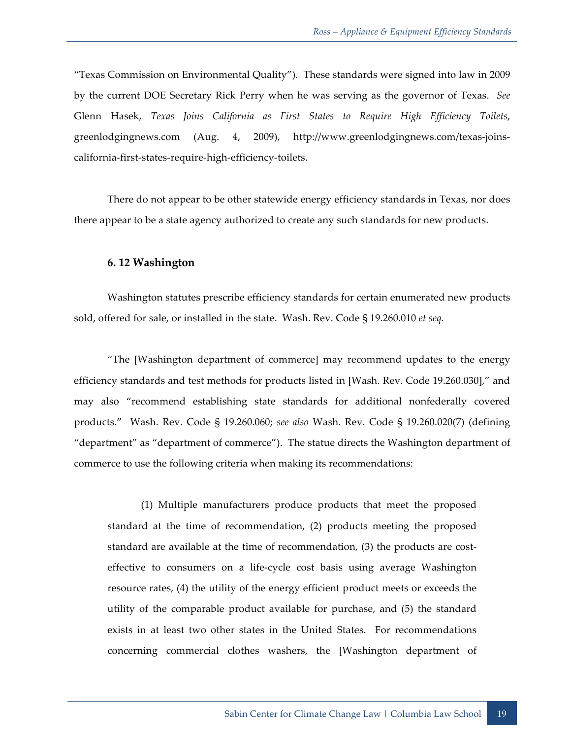"Texas Commission on Environmental Quality"). These standards were signed into law in 2009 by the current DOE Secretary Rick Perry when he was serving as the governor of Texas. *See* Glenn Hasek, *Texas Joins California as First States to Require High Efficiency Toilets*, greenlodgingnews.com (Aug. 4, 2009), http://www.greenlodgingnews.com/texas-joinscalifornia-first-states-require-high-efficiency-toilets.

There do not appear to be other statewide energy efficiency standards in Texas, nor does there appear to be a state agency authorized to create any such standards for new products.

#### **6. 12 Washington**

Washington statutes prescribe efficiency standards for certain enumerated new products sold, offered for sale, or installed in the state. Wash. Rev. Code § 19.260.010 *et seq.*

"The [Washington department of commerce] may recommend updates to the energy efficiency standards and test methods for products listed in [Wash. Rev. Code 19.260.030]," and may also "recommend establishing state standards for additional nonfederally covered products." Wash. Rev. Code § 19.260.060; *see also* Wash. Rev. Code § 19.260.020(7) (defining "department" as "department of commerce"). The statue directs the Washington department of commerce to use the following criteria when making its recommendations:

(1) Multiple manufacturers produce products that meet the proposed standard at the time of recommendation, (2) products meeting the proposed standard are available at the time of recommendation, (3) the products are costeffective to consumers on a life-cycle cost basis using average Washington resource rates, (4) the utility of the energy efficient product meets or exceeds the utility of the comparable product available for purchase, and (5) the standard exists in at least two other states in the United States. For recommendations concerning commercial clothes washers, the [Washington department of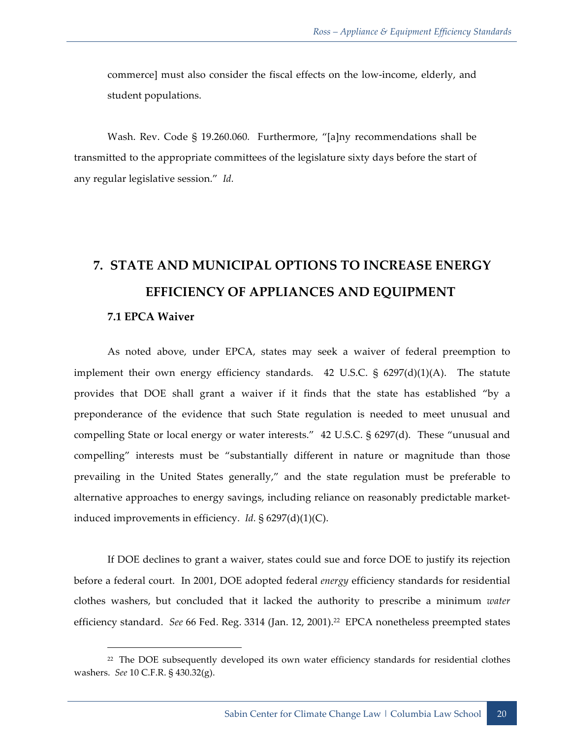commerce] must also consider the fiscal effects on the low-income, elderly, and student populations.

Wash. Rev. Code § 19.260.060*.* Furthermore, "[a]ny recommendations shall be transmitted to the appropriate committees of the legislature sixty days before the start of any regular legislative session." *Id.*

# **7. STATE AND MUNICIPAL OPTIONS TO INCREASE ENERGY EFFICIENCY OF APPLIANCES AND EQUIPMENT**

#### **7.1 EPCA Waiver**

<u>.</u>

As noted above, under EPCA, states may seek a waiver of federal preemption to implement their own energy efficiency standards. 42 U.S.C. § 6297(d)(1)(A). The statute provides that DOE shall grant a waiver if it finds that the state has established "by a preponderance of the evidence that such State regulation is needed to meet unusual and compelling State or local energy or water interests." 42 U.S.C. § 6297(d). These "unusual and compelling" interests must be "substantially different in nature or magnitude than those prevailing in the United States generally," and the state regulation must be preferable to alternative approaches to energy savings, including reliance on reasonably predictable marketinduced improvements in efficiency. *Id.* § 6297(d)(1)(C).

If DOE declines to grant a waiver, states could sue and force DOE to justify its rejection before a federal court. In 2001, DOE adopted federal *energy* efficiency standards for residential clothes washers, but concluded that it lacked the authority to prescribe a minimum *water* efficiency standard. *See* 66 Fed. Reg. 3314 (Jan. 12, 2001).<sup>22</sup> EPCA nonetheless preempted states

<sup>&</sup>lt;sup>22</sup> The DOE subsequently developed its own water efficiency standards for residential clothes washers. *See* 10 C.F.R. § 430.32(g).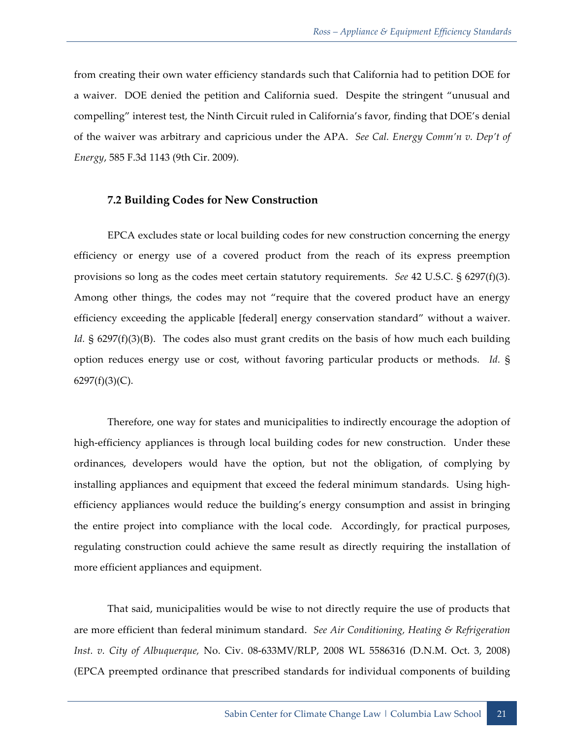from creating their own water efficiency standards such that California had to petition DOE for a waiver. DOE denied the petition and California sued. Despite the stringent "unusual and compelling" interest test, the Ninth Circuit ruled in California's favor, finding that DOE's denial of the waiver was arbitrary and capricious under the APA. *See Cal. Energy Comm'n v. Dep't of Energy*, 585 F.3d 1143 (9th Cir. 2009).

#### **7.2 Building Codes for New Construction**

EPCA excludes state or local building codes for new construction concerning the energy efficiency or energy use of a covered product from the reach of its express preemption provisions so long as the codes meet certain statutory requirements. *See* 42 U.S.C. § 6297(f)(3). Among other things, the codes may not "require that the covered product have an energy efficiency exceeding the applicable [federal] energy conservation standard" without a waiver. *Id.* § 6297(f)(3)(B). The codes also must grant credits on the basis of how much each building option reduces energy use or cost, without favoring particular products or methods. *Id.* §  $6297(f)(3)(C)$ .

Therefore, one way for states and municipalities to indirectly encourage the adoption of high-efficiency appliances is through local building codes for new construction. Under these ordinances, developers would have the option, but not the obligation, of complying by installing appliances and equipment that exceed the federal minimum standards. Using highefficiency appliances would reduce the building's energy consumption and assist in bringing the entire project into compliance with the local code. Accordingly, for practical purposes, regulating construction could achieve the same result as directly requiring the installation of more efficient appliances and equipment.

That said, municipalities would be wise to not directly require the use of products that are more efficient than federal minimum standard. *See Air Conditioning, Heating & Refrigeration Inst. v. City of Albuquerque,* No. Civ. 08-633MV/RLP, 2008 WL 5586316 (D.N.M. Oct. 3, 2008) (EPCA preempted ordinance that prescribed standards for individual components of building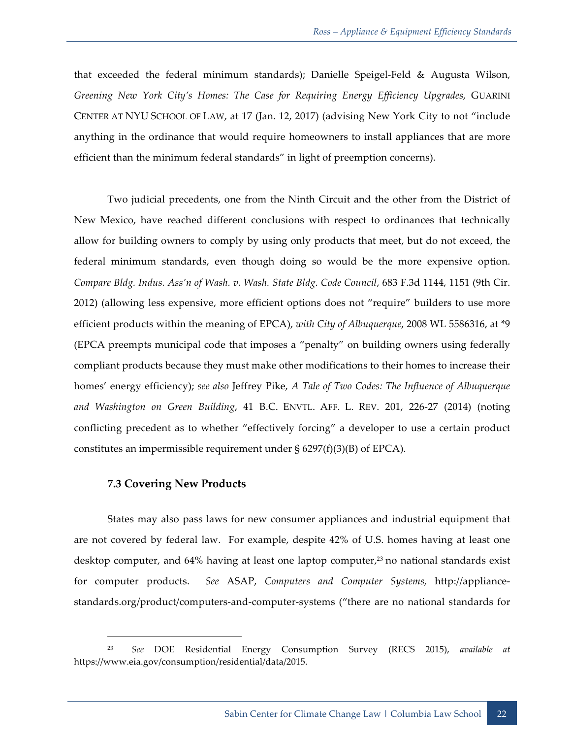that exceeded the federal minimum standards); Danielle Speigel-Feld & Augusta Wilson, *Greening New York City's Homes: The Case for Requiring Energy Efficiency Upgrades*, GUARINI CENTER AT NYU SCHOOL OF LAW, at 17 (Jan. 12, 2017) (advising New York City to not "include anything in the ordinance that would require homeowners to install appliances that are more efficient than the minimum federal standards" in light of preemption concerns).

Two judicial precedents, one from the Ninth Circuit and the other from the District of New Mexico, have reached different conclusions with respect to ordinances that technically allow for building owners to comply by using only products that meet, but do not exceed, the federal minimum standards, even though doing so would be the more expensive option. *Compare Bldg. Indus. Ass'n of Wash. v. Wash. State Bldg. Code Council*, 683 F.3d 1144, 1151 (9th Cir. 2012) (allowing less expensive, more efficient options does not "require" builders to use more efficient products within the meaning of EPCA), *with City of Albuquerque*, 2008 WL 5586316, at \*9 (EPCA preempts municipal code that imposes a "penalty" on building owners using federally compliant products because they must make other modifications to their homes to increase their homes' energy efficiency); *see also* Jeffrey Pike, *A Tale of Two Codes: The Influence of Albuquerque and Washington on Green Building*, 41 B.C. ENVTL. AFF. L. REV. 201, 226-27 (2014) (noting conflicting precedent as to whether "effectively forcing" a developer to use a certain product constitutes an impermissible requirement under  $\S 6297(f)(3)(B)$  of EPCA).

#### **7.3 Covering New Products**

-

States may also pass laws for new consumer appliances and industrial equipment that are not covered by federal law. For example, despite 42% of U.S. homes having at least one desktop computer, and 64% having at least one laptop computer, <sup>23</sup> no national standards exist for computer products. *See* ASAP, *Computers and Computer Systems,* http://appliancestandards.org/product/computers-and-computer-systems ("there are no national standards for

<sup>23</sup> *See* DOE Residential Energy Consumption Survey (RECS 2015), *available at* https://www.eia.gov/consumption/residential/data/2015.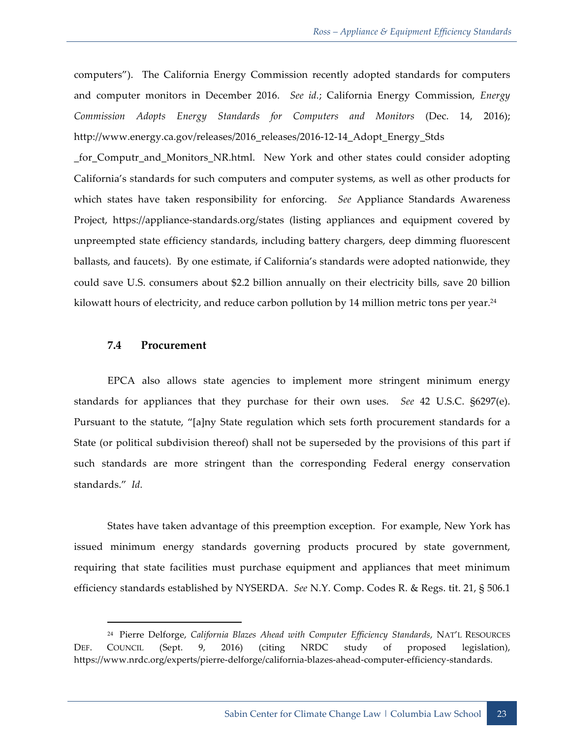computers"). The California Energy Commission recently adopted standards for computers and computer monitors in December 2016. *See id.*; California Energy Commission, *Energy Commission Adopts Energy Standards for Computers and Monitors* (Dec. 14, 2016); http://www.energy.ca.gov/releases/2016\_releases/2016-12-14\_Adopt\_Energy\_Stds

\_for\_Computr\_and\_Monitors\_NR.html. New York and other states could consider adopting California's standards for such computers and computer systems, as well as other products for which states have taken responsibility for enforcing. *See* Appliance Standards Awareness Project, https://appliance-standards.org/states (listing appliances and equipment covered by unpreempted state efficiency standards, including battery chargers, deep dimming fluorescent ballasts, and faucets). By one estimate, if California's standards were adopted nationwide, they could save U.S. consumers about \$2.2 billion annually on their electricity bills, save 20 billion kilowatt hours of electricity, and reduce carbon pollution by 14 million metric tons per year. $24$ 

#### **7.4 Procurement**

**.** 

EPCA also allows state agencies to implement more stringent minimum energy standards for appliances that they purchase for their own uses. *See* 42 U.S.C. §6297(e). Pursuant to the statute, "[a]ny State regulation which sets forth procurement standards for a State (or political subdivision thereof) shall not be superseded by the provisions of this part if such standards are more stringent than the corresponding Federal energy conservation standards." *Id.*

States have taken advantage of this preemption exception. For example, New York has issued minimum energy standards governing products procured by state government, requiring that state facilities must purchase equipment and appliances that meet minimum efficiency standards established by NYSERDA. *See* N.Y. Comp. Codes R. & Regs. tit. 21, § 506.1

<sup>24</sup> Pierre Delforge, *California Blazes Ahead with Computer Efficiency Standards*, NAT'L RESOURCES DEF. COUNCIL (Sept. 9, 2016) (citing NRDC study of proposed legislation), https://www.nrdc.org/experts/pierre-delforge/california-blazes-ahead-computer-efficiency-standards.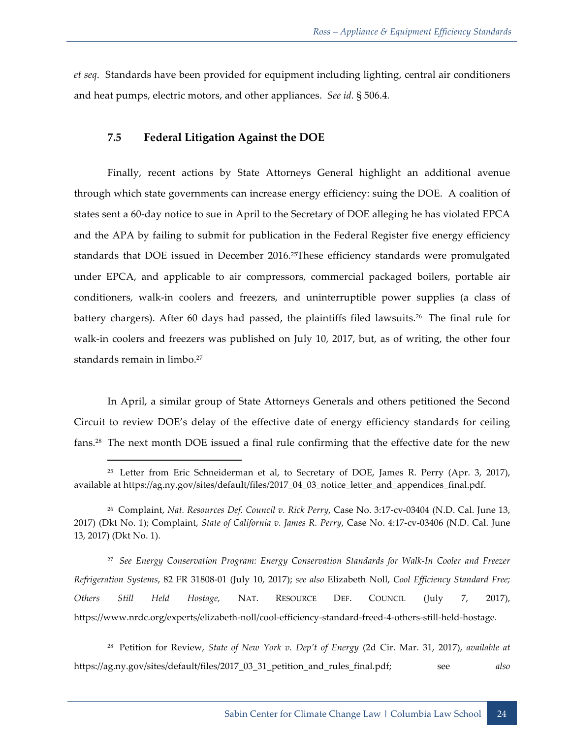*et seq*. Standards have been provided for equipment including lighting, central air conditioners and heat pumps, electric motors, and other appliances. *See id.* § 506.4*.*

#### **7.5 Federal Litigation Against the DOE**

**.** 

Finally, recent actions by State Attorneys General highlight an additional avenue through which state governments can increase energy efficiency: suing the DOE. A coalition of states sent a 60-day notice to sue in April to the Secretary of DOE alleging he has violated EPCA and the APA by failing to submit for publication in the Federal Register five energy efficiency standards that DOE issued in December 2016.<sup>25</sup>These efficiency standards were promulgated under EPCA, and applicable to air compressors, commercial packaged boilers, portable air conditioners, walk-in coolers and freezers, and uninterruptible power supplies (a class of battery chargers). After 60 days had passed, the plaintiffs filed lawsuits.<sup>26</sup> The final rule for walk-in coolers and freezers was published on July 10, 2017, but, as of writing, the other four standards remain in limbo.<sup>27</sup>

In April, a similar group of State Attorneys Generals and others petitioned the Second Circuit to review DOE's delay of the effective date of energy efficiency standards for ceiling fans.28 The next month DOE issued a final rule confirming that the effective date for the new

27 *See Energy Conservation Program: Energy Conservation Standards for Walk-In Cooler and Freezer Refrigeration Systems*, 82 FR 31808-01 (July 10, 2017); *see also* Elizabeth Noll, *Cool Efficiency Standard Free; Others Still Held Hostage,* NAT. RESOURCE DEF. COUNCIL (July 7, 2017), https://www.nrdc.org/experts/elizabeth-noll/cool-efficiency-standard-freed-4-others-still-held-hostage.

28 Petition for Review, *State of New York v. Dep't of Energy* (2d Cir. Mar. 31, 2017), *available at* https://ag.ny.gov/sites/default/files/2017\_03\_31\_petition\_and\_rules\_final.pdf; see *also*

<sup>&</sup>lt;sup>25</sup> Letter from Eric Schneiderman et al, to Secretary of DOE, James R. Perry (Apr. 3, 2017), available at https://ag.ny.gov/sites/default/files/2017\_04\_03\_notice\_letter\_and\_appendices\_final.pdf.

<sup>26</sup> Complaint, *Nat. Resources Def. Council v. Rick Perry*, Case No. 3:17-cv-03404 (N.D. Cal. June 13, 2017) (Dkt No. 1); Complaint, *State of California v. James R. Perry*, Case No. 4:17-cv-03406 (N.D. Cal. June 13, 2017) (Dkt No. 1).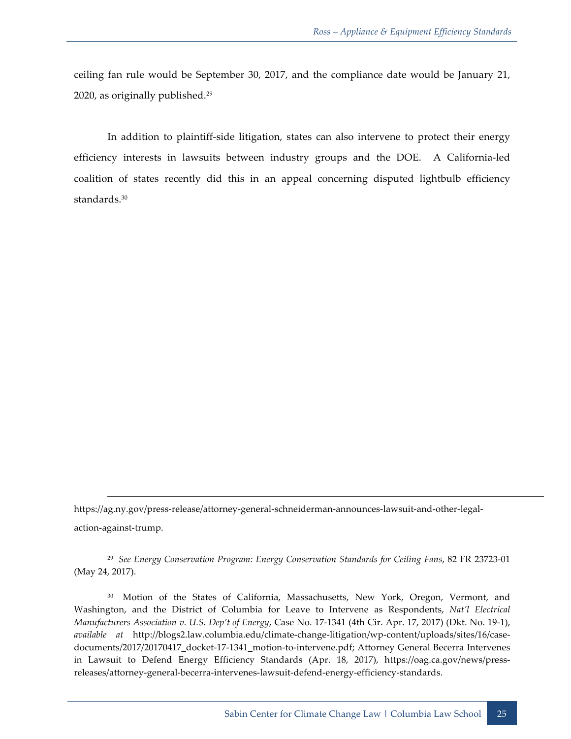ceiling fan rule would be September 30, 2017, and the compliance date would be January 21, 2020, as originally published. 29

In addition to plaintiff-side litigation, states can also intervene to protect their energy efficiency interests in lawsuits between industry groups and the DOE. A California-led coalition of states recently did this in an appeal concerning disputed lightbulb efficiency standards.<sup>30</sup>

https://ag.ny.gov/press-release/attorney-general-schneiderman-announces-lawsuit-and-other-legalaction-against-trump.

<u>.</u>

29 *See Energy Conservation Program: Energy Conservation Standards for Ceiling Fans*, 82 FR 23723-01 (May 24, 2017).

30 Motion of the States of California, Massachusetts, New York, Oregon, Vermont, and Washington, and the District of Columbia for Leave to Intervene as Respondents, *Nat'l Electrical Manufacturers Association v. U.S. Dep't of Energy*, Case No. 17-1341 (4th Cir. Apr. 17, 2017) (Dkt. No. 19-1), *available at* http://blogs2.law.columbia.edu/climate-change-litigation/wp-content/uploads/sites/16/casedocuments/2017/20170417\_docket-17-1341\_motion-to-intervene.pdf; Attorney General Becerra Intervenes in Lawsuit to Defend Energy Efficiency Standards (Apr. 18, 2017), https://oag.ca.gov/news/pressreleases/attorney-general-becerra-intervenes-lawsuit-defend-energy-efficiency-standards.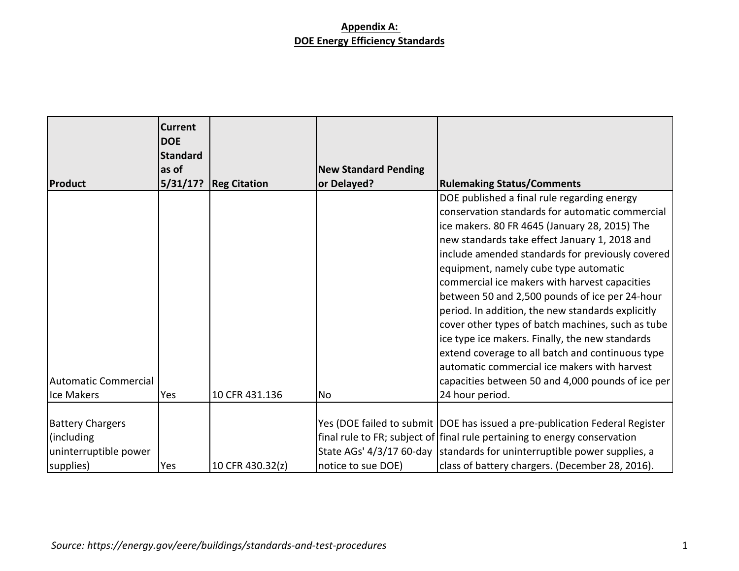|                             | <b>Current</b><br><b>DOE</b> |                     |                             |                                                                                                  |
|-----------------------------|------------------------------|---------------------|-----------------------------|--------------------------------------------------------------------------------------------------|
|                             | <b>Standard</b><br>as of     |                     |                             |                                                                                                  |
|                             |                              |                     | <b>New Standard Pending</b> |                                                                                                  |
| Product                     | 5/31/17?                     | <b>Reg Citation</b> | or Delayed?                 | <b>Rulemaking Status/Comments</b>                                                                |
|                             |                              |                     |                             | DOE published a final rule regarding energy                                                      |
|                             |                              |                     |                             | conservation standards for automatic commercial                                                  |
|                             |                              |                     |                             | ice makers. 80 FR 4645 (January 28, 2015) The                                                    |
|                             |                              |                     |                             | new standards take effect January 1, 2018 and                                                    |
|                             |                              |                     |                             | include amended standards for previously covered                                                 |
|                             |                              |                     |                             | equipment, namely cube type automatic                                                            |
|                             |                              |                     |                             | commercial ice makers with harvest capacities                                                    |
|                             |                              |                     |                             | between 50 and 2,500 pounds of ice per 24-hour                                                   |
|                             |                              |                     |                             | period. In addition, the new standards explicitly                                                |
|                             |                              |                     |                             | cover other types of batch machines, such as tube                                                |
|                             |                              |                     |                             | ice type ice makers. Finally, the new standards                                                  |
|                             |                              |                     |                             | extend coverage to all batch and continuous type<br>automatic commercial ice makers with harvest |
| <b>Automatic Commercial</b> |                              |                     |                             | capacities between 50 and 4,000 pounds of ice per                                                |
| Ice Makers                  | Yes                          | 10 CFR 431.136      | No                          | 24 hour period.                                                                                  |
|                             |                              |                     |                             |                                                                                                  |
| <b>Battery Chargers</b>     |                              |                     |                             | Yes (DOE failed to submit   DOE has issued a pre-publication Federal Register                    |
| (including                  |                              |                     |                             | final rule to FR; subject of final rule pertaining to energy conservation                        |
|                             |                              |                     |                             |                                                                                                  |
| uninterruptible power       |                              |                     |                             | State AGs' 4/3/17 60-day standards for uninterruptible power supplies, a                         |
| supplies)                   | Yes                          | 10 CFR 430.32(z)    | notice to sue DOE)          | class of battery chargers. (December 28, 2016).                                                  |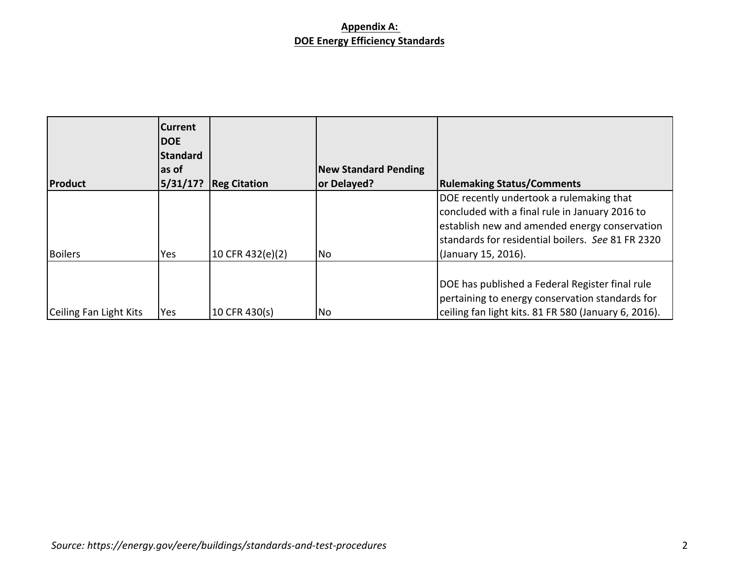| <b>Product</b>         | <b>Current</b><br><b>IDOE</b><br>Standard<br>las of<br>5/31/17? | <b>Reg Citation</b> | <b>New Standard Pending</b><br>or Delayed? | <b>Rulemaking Status/Comments</b>                                                                                                                                                                                        |
|------------------------|-----------------------------------------------------------------|---------------------|--------------------------------------------|--------------------------------------------------------------------------------------------------------------------------------------------------------------------------------------------------------------------------|
| Boilers                | Yes                                                             | 10 CFR 432(e)(2)    | No                                         | DOE recently undertook a rulemaking that<br>concluded with a final rule in January 2016 to<br>establish new and amended energy conservation<br>lstandards for residential boilers. See 81 FR 2320<br>(January 15, 2016). |
| Ceiling Fan Light Kits | Yes                                                             | 10 CFR 430(s)       | No                                         | DOE has published a Federal Register final rule<br>pertaining to energy conservation standards for<br>ceiling fan light kits. 81 FR 580 (January 6, 2016).                                                               |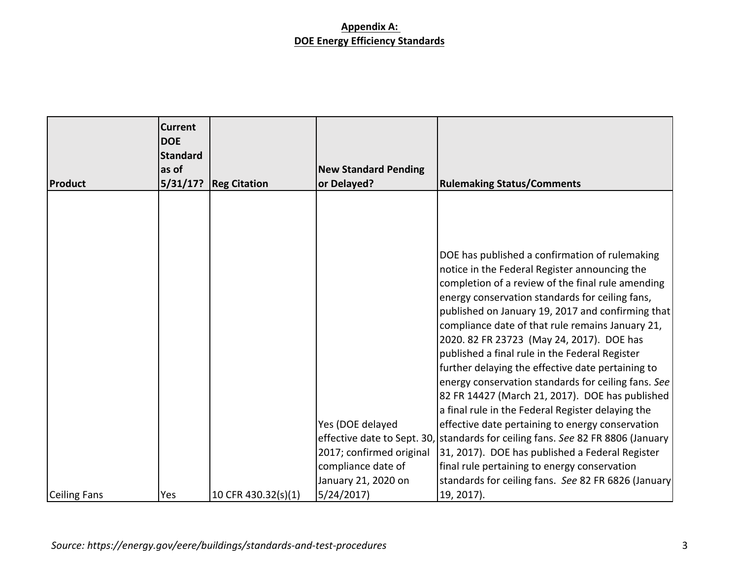|              | <b>Current</b><br><b>DOE</b><br><b>Standard</b><br>as of |                     | <b>New Standard Pending</b>                  |                                                                                                                                                                                                                                                                                                                                                                                                                                                                                                                                                                                                                                                                                                                                                                                                                               |
|--------------|----------------------------------------------------------|---------------------|----------------------------------------------|-------------------------------------------------------------------------------------------------------------------------------------------------------------------------------------------------------------------------------------------------------------------------------------------------------------------------------------------------------------------------------------------------------------------------------------------------------------------------------------------------------------------------------------------------------------------------------------------------------------------------------------------------------------------------------------------------------------------------------------------------------------------------------------------------------------------------------|
| Product      | 5/31/17?                                                 | <b>Reg Citation</b> | or Delayed?                                  | <b>Rulemaking Status/Comments</b>                                                                                                                                                                                                                                                                                                                                                                                                                                                                                                                                                                                                                                                                                                                                                                                             |
|              |                                                          |                     | Yes (DOE delayed<br>2017; confirmed original | DOE has published a confirmation of rulemaking<br>notice in the Federal Register announcing the<br>completion of a review of the final rule amending<br>energy conservation standards for ceiling fans,<br>published on January 19, 2017 and confirming that<br>compliance date of that rule remains January 21,<br>2020. 82 FR 23723 (May 24, 2017). DOE has<br>published a final rule in the Federal Register<br>further delaying the effective date pertaining to<br>energy conservation standards for ceiling fans. See<br>82 FR 14427 (March 21, 2017). DOE has published<br>a final rule in the Federal Register delaying the<br>effective date pertaining to energy conservation<br>effective date to Sept. 30, standards for ceiling fans. See 82 FR 8806 (January<br>31, 2017). DOE has published a Federal Register |
|              |                                                          |                     | compliance date of                           | final rule pertaining to energy conservation                                                                                                                                                                                                                                                                                                                                                                                                                                                                                                                                                                                                                                                                                                                                                                                  |
|              |                                                          |                     | January 21, 2020 on                          | standards for ceiling fans. See 82 FR 6826 (January                                                                                                                                                                                                                                                                                                                                                                                                                                                                                                                                                                                                                                                                                                                                                                           |
| Ceiling Fans | Yes                                                      | 10 CFR 430.32(s)(1) | 5/24/2017                                    | 19, 2017).                                                                                                                                                                                                                                                                                                                                                                                                                                                                                                                                                                                                                                                                                                                                                                                                                    |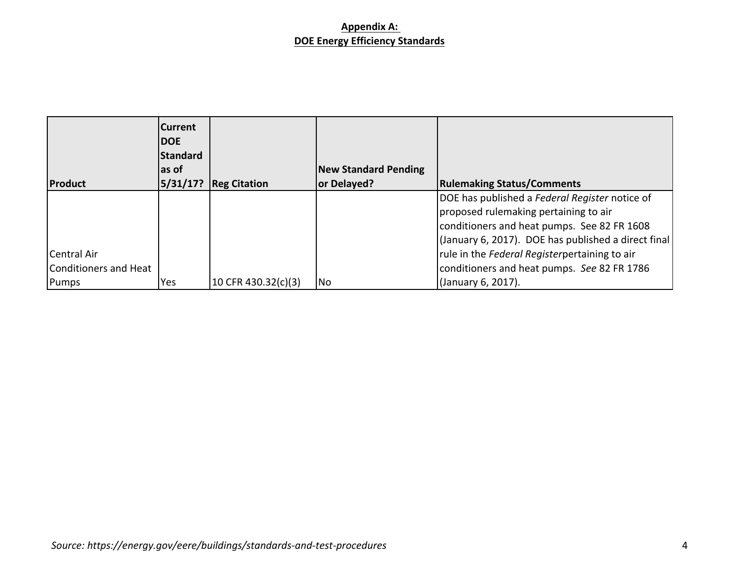|                       | <b>Current</b><br><b>IDOE</b><br>Standard<br>las of |                     | <b>New Standard Pending</b> |                                                     |
|-----------------------|-----------------------------------------------------|---------------------|-----------------------------|-----------------------------------------------------|
| <b>Product</b>        | 5/31/17?                                            | <b>Reg Citation</b> | or Delayed?                 | <b>Rulemaking Status/Comments</b>                   |
|                       |                                                     |                     |                             | DOE has published a Federal Register notice of      |
|                       |                                                     |                     |                             | proposed rulemaking pertaining to air               |
|                       |                                                     |                     |                             | conditioners and heat pumps. See 82 FR 1608         |
|                       |                                                     |                     |                             | (January 6, 2017). DOE has published a direct final |
| <b>ICentral Air</b>   |                                                     |                     |                             | rule in the Federal Registerpertaining to air       |
| Conditioners and Heat |                                                     |                     |                             | conditioners and heat pumps. See 82 FR 1786         |
| <b>Pumps</b>          | Yes                                                 | 10 CFR 430.32(c)(3) | <b>No</b>                   | (January 6, 2017).                                  |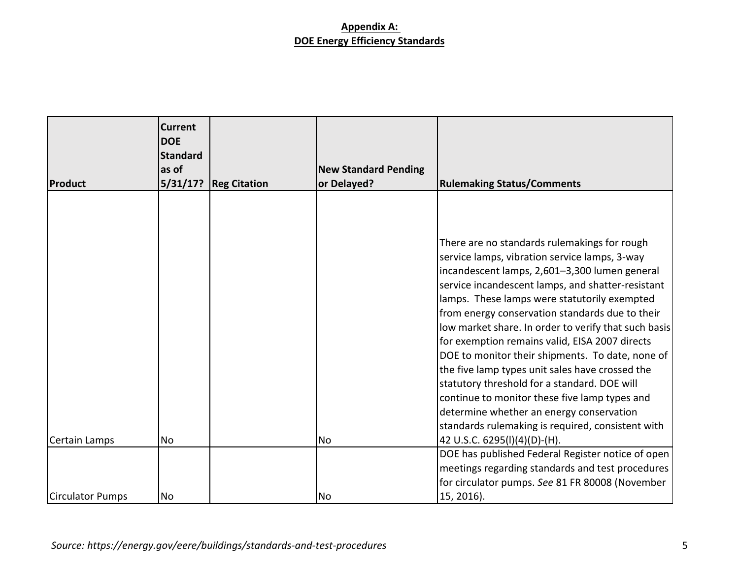|                  | <b>Current</b><br><b>DOE</b><br><b>Standard</b><br>as of |                     | <b>New Standard Pending</b> |                                                      |
|------------------|----------------------------------------------------------|---------------------|-----------------------------|------------------------------------------------------|
| <b>Product</b>   | 5/31/17?                                                 | <b>Reg Citation</b> | or Delayed?                 | <b>Rulemaking Status/Comments</b>                    |
|                  |                                                          |                     |                             |                                                      |
|                  |                                                          |                     |                             | There are no standards rulemakings for rough         |
|                  |                                                          |                     |                             | service lamps, vibration service lamps, 3-way        |
|                  |                                                          |                     |                             | incandescent lamps, 2,601-3,300 lumen general        |
|                  |                                                          |                     |                             | service incandescent lamps, and shatter-resistant    |
|                  |                                                          |                     |                             | lamps. These lamps were statutorily exempted         |
|                  |                                                          |                     |                             | from energy conservation standards due to their      |
|                  |                                                          |                     |                             | low market share. In order to verify that such basis |
|                  |                                                          |                     |                             | for exemption remains valid, EISA 2007 directs       |
|                  |                                                          |                     |                             | DOE to monitor their shipments. To date, none of     |
|                  |                                                          |                     |                             | the five lamp types unit sales have crossed the      |
|                  |                                                          |                     |                             | statutory threshold for a standard. DOE will         |
|                  |                                                          |                     |                             | continue to monitor these five lamp types and        |
|                  |                                                          |                     |                             | determine whether an energy conservation             |
|                  |                                                          |                     |                             | standards rulemaking is required, consistent with    |
| Certain Lamps    | <b>No</b>                                                |                     | <b>No</b>                   | 42 U.S.C. 6295(I)(4)(D)-(H).                         |
|                  |                                                          |                     |                             | DOE has published Federal Register notice of open    |
|                  |                                                          |                     |                             | meetings regarding standards and test procedures     |
|                  |                                                          |                     |                             | for circulator pumps. See 81 FR 80008 (November      |
| Circulator Pumps | No                                                       |                     | No                          | 15, 2016).                                           |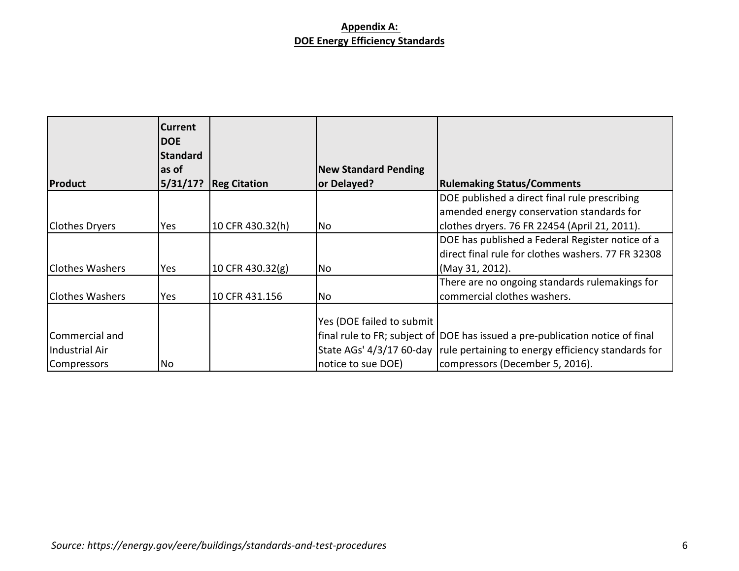|                        | <b>Current</b><br><b>DOE</b><br><b>Standard</b><br>las of |                     | <b>New Standard Pending</b> |                                                                                                        |
|------------------------|-----------------------------------------------------------|---------------------|-----------------------------|--------------------------------------------------------------------------------------------------------|
| Product                | 5/31/17?                                                  | <b>Reg Citation</b> | or Delayed?                 | <b>Rulemaking Status/Comments</b><br>DOE published a direct final rule prescribing                     |
|                        |                                                           |                     |                             | amended energy conservation standards for                                                              |
| Clothes Dryers         | Yes                                                       | 10 CFR 430.32(h)    | No                          | clothes dryers. 76 FR 22454 (April 21, 2011).                                                          |
|                        |                                                           |                     |                             | DOE has published a Federal Register notice of a<br>direct final rule for clothes washers. 77 FR 32308 |
| Clothes Washers        | Yes                                                       | 10 CFR 430.32(g)    | <b>No</b>                   | (May 31, 2012).                                                                                        |
| <b>Clothes Washers</b> | Yes                                                       | 10 CFR 431.156      | No                          | There are no ongoing standards rulemakings for<br>commercial clothes washers.                          |
|                        |                                                           |                     | Yes (DOE failed to submit   |                                                                                                        |
| lCommercial and        |                                                           |                     |                             | final rule to FR; subject of DOE has issued a pre-publication notice of final                          |
| Industrial Air         |                                                           |                     |                             | State AGs' 4/3/17 60-day rule pertaining to energy efficiency standards for                            |
| Compressors            | No                                                        |                     | notice to sue DOE)          | compressors (December 5, 2016).                                                                        |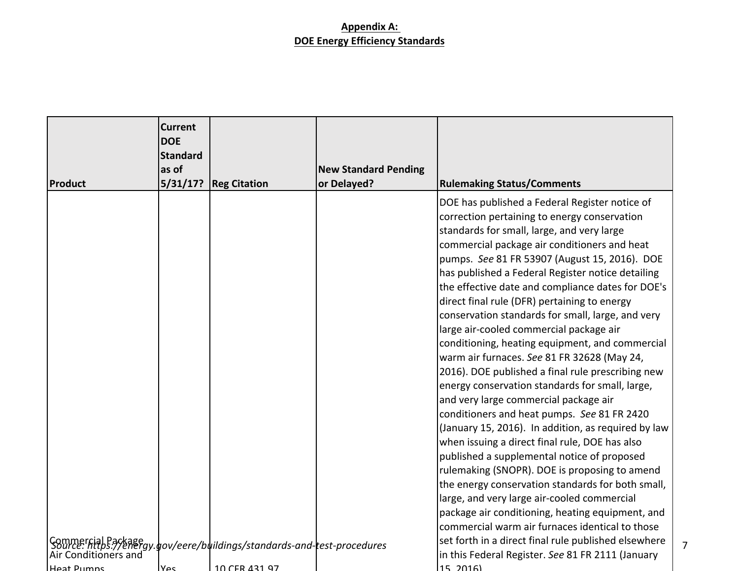| <b>Product</b>                                                                                               | <b>Current</b><br><b>DOE</b><br><b>Standard</b><br>as of<br>5/31/17? | <b>Reg Citation</b> | <b>New Standard Pending</b><br>or Delayed? | <b>Rulemaking Status/Comments</b>                                                                                                                                                                                                                                                                                                                                                                                                                                                                                                                                                                                                                                                                                                                                                                                                                                                                                                                                                                                                                                                                                                                                                                                                                                                     |   |
|--------------------------------------------------------------------------------------------------------------|----------------------------------------------------------------------|---------------------|--------------------------------------------|---------------------------------------------------------------------------------------------------------------------------------------------------------------------------------------------------------------------------------------------------------------------------------------------------------------------------------------------------------------------------------------------------------------------------------------------------------------------------------------------------------------------------------------------------------------------------------------------------------------------------------------------------------------------------------------------------------------------------------------------------------------------------------------------------------------------------------------------------------------------------------------------------------------------------------------------------------------------------------------------------------------------------------------------------------------------------------------------------------------------------------------------------------------------------------------------------------------------------------------------------------------------------------------|---|
|                                                                                                              |                                                                      |                     |                                            | DOE has published a Federal Register notice of<br>correction pertaining to energy conservation<br>standards for small, large, and very large<br>commercial package air conditioners and heat<br>pumps. See 81 FR 53907 (August 15, 2016). DOE<br>has published a Federal Register notice detailing<br>the effective date and compliance dates for DOE's<br>direct final rule (DFR) pertaining to energy<br>conservation standards for small, large, and very<br>large air-cooled commercial package air<br>conditioning, heating equipment, and commercial<br>warm air furnaces. See 81 FR 32628 (May 24,<br>2016). DOE published a final rule prescribing new<br>energy conservation standards for small, large,<br>and very large commercial package air<br>conditioners and heat pumps. See 81 FR 2420<br>(January 15, 2016). In addition, as required by law<br>when issuing a direct final rule, DOE has also<br>published a supplemental notice of proposed<br>rulemaking (SNOPR). DOE is proposing to amend<br>the energy conservation standards for both small,<br>large, and very large air-cooled commercial<br>package air conditioning, heating equipment, and<br>commercial warm air furnaces identical to those<br>set forth in a direct final rule published elsewhere |   |
| Commercial Package gy.gov/eere/buildings/standards-and-test-procedures<br>Air Conditioners and<br>Heat Pumns | πە∨ا                                                                 | 10 CER 431 97       |                                            | in this Federal Register. See 81 FR 2111 (January<br>15, 2016                                                                                                                                                                                                                                                                                                                                                                                                                                                                                                                                                                                                                                                                                                                                                                                                                                                                                                                                                                                                                                                                                                                                                                                                                         | 7 |
|                                                                                                              |                                                                      |                     |                                            |                                                                                                                                                                                                                                                                                                                                                                                                                                                                                                                                                                                                                                                                                                                                                                                                                                                                                                                                                                                                                                                                                                                                                                                                                                                                                       |   |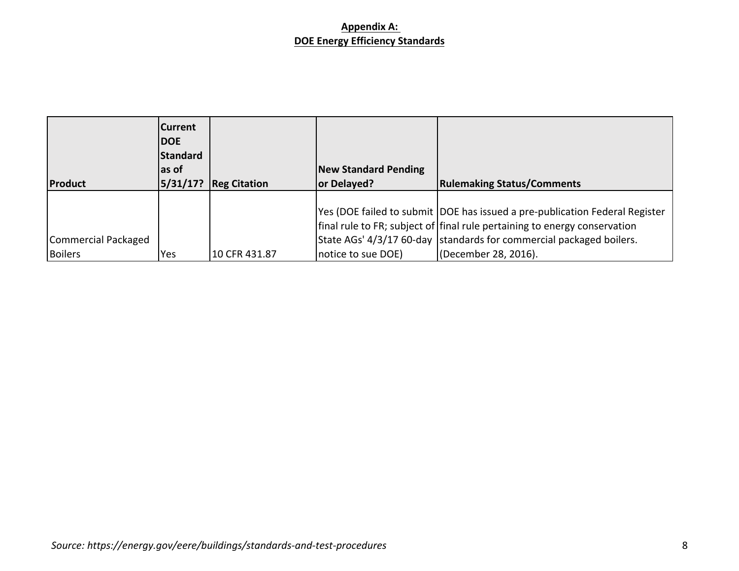| Product                        | <b>Current</b><br><b>IDOE</b><br>Standard<br>las of<br> 5/31/17? | <b>Reg Citation</b> | <b>New Standard Pending</b><br>or Delayed? | <b>Rulemaking Status/Comments</b>                                                                                                                         |
|--------------------------------|------------------------------------------------------------------|---------------------|--------------------------------------------|-----------------------------------------------------------------------------------------------------------------------------------------------------------|
|                                |                                                                  |                     |                                            | Yes (DOE failed to submit  DOE has issued a pre-publication Federal Register<br>final rule to FR; subject of final rule pertaining to energy conservation |
| Commercial Packaged<br>Boilers | Yes                                                              | 10 CFR 431.87       | notice to sue DOE)                         | State AGs' 4/3/17 60-day standards for commercial packaged boilers.<br>(December 28, 2016).                                                               |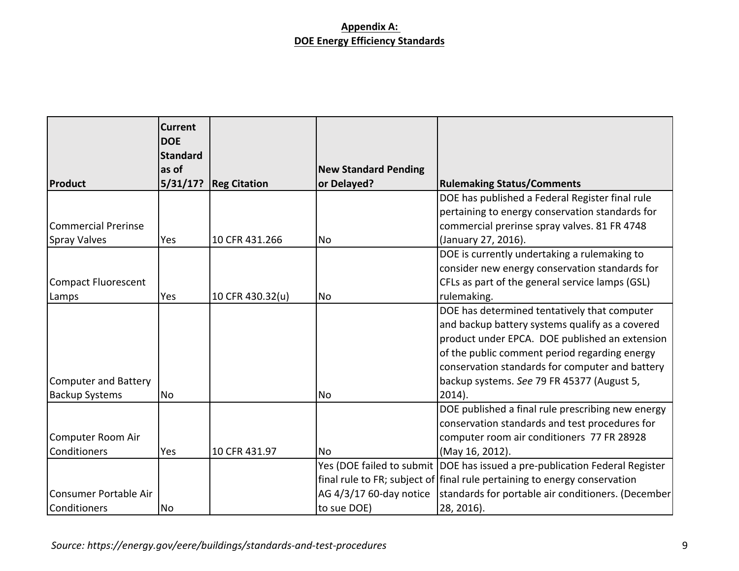|                             | <b>Current</b><br><b>DOE</b> |                     |                             |                                                                               |
|-----------------------------|------------------------------|---------------------|-----------------------------|-------------------------------------------------------------------------------|
|                             | <b>Standard</b>              |                     |                             |                                                                               |
|                             | as of                        |                     | <b>New Standard Pending</b> |                                                                               |
| Product                     | 5/31/17?                     | <b>Reg Citation</b> | or Delayed?                 | <b>Rulemaking Status/Comments</b>                                             |
|                             |                              |                     |                             | DOE has published a Federal Register final rule                               |
|                             |                              |                     |                             | pertaining to energy conservation standards for                               |
| <b>Commercial Prerinse</b>  |                              |                     |                             | commercial prerinse spray valves. 81 FR 4748                                  |
| <b>Spray Valves</b>         | Yes                          | 10 CFR 431.266      | No                          | (January 27, 2016).                                                           |
|                             |                              |                     |                             | DOE is currently undertaking a rulemaking to                                  |
|                             |                              |                     |                             | consider new energy conservation standards for                                |
| <b>Compact Fluorescent</b>  |                              |                     |                             | CFLs as part of the general service lamps (GSL)                               |
| Lamps                       | Yes                          | 10 CFR 430.32(u)    | <b>No</b>                   | rulemaking.                                                                   |
|                             |                              |                     |                             | DOE has determined tentatively that computer                                  |
|                             |                              |                     |                             | and backup battery systems qualify as a covered                               |
|                             |                              |                     |                             | product under EPCA. DOE published an extension                                |
|                             |                              |                     |                             | of the public comment period regarding energy                                 |
|                             |                              |                     |                             | conservation standards for computer and battery                               |
| <b>Computer and Battery</b> |                              |                     |                             | backup systems. See 79 FR 45377 (August 5,                                    |
| <b>Backup Systems</b>       | No                           |                     | <b>No</b>                   | $2014$ ).                                                                     |
|                             |                              |                     |                             | DOE published a final rule prescribing new energy                             |
|                             |                              |                     |                             | conservation standards and test procedures for                                |
| Computer Room Air           |                              |                     |                             | computer room air conditioners 77 FR 28928                                    |
| Conditioners                | Yes                          | 10 CFR 431.97       | <b>No</b>                   | (May 16, 2012).                                                               |
|                             |                              |                     |                             | Yes (DOE failed to submit   DOE has issued a pre-publication Federal Register |
|                             |                              |                     |                             | final rule to FR; subject of   final rule pertaining to energy conservation   |
| Consumer Portable Air       |                              |                     | AG 4/3/17 60-day notice     | standards for portable air conditioners. (December                            |
| Conditioners                | No                           |                     | to sue DOE)                 | 28, 2016).                                                                    |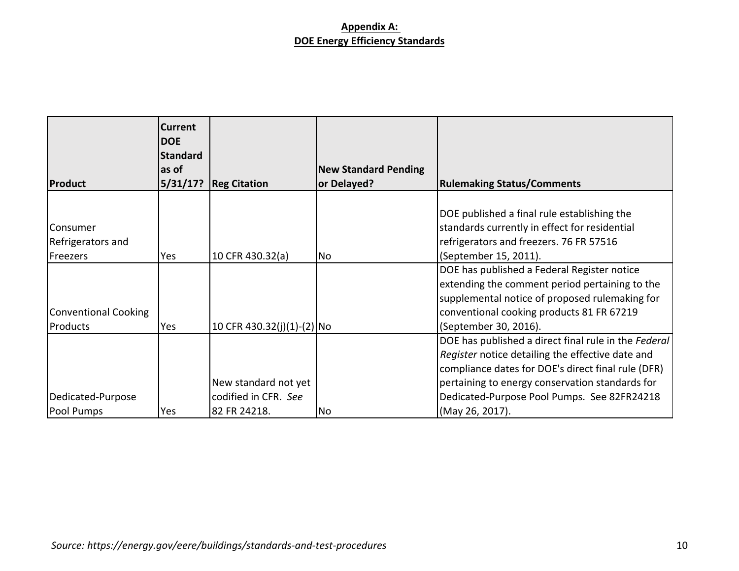|                                           | <b>Current</b><br><b>DOE</b><br><b>Standard</b><br>las of |                                                              | <b>New Standard Pending</b> |                                                                                                                                                                                                                                                                                     |
|-------------------------------------------|-----------------------------------------------------------|--------------------------------------------------------------|-----------------------------|-------------------------------------------------------------------------------------------------------------------------------------------------------------------------------------------------------------------------------------------------------------------------------------|
| <b>Product</b>                            | 5/31/17?                                                  | <b>Reg Citation</b>                                          | or Delayed?                 | <b>Rulemaking Status/Comments</b>                                                                                                                                                                                                                                                   |
| Consumer<br>Refrigerators and<br>Freezers | Yes                                                       | 10 CFR 430.32(a)                                             | No                          | DOE published a final rule establishing the<br>standards currently in effect for residential<br>refrigerators and freezers. 76 FR 57516<br>(September 15, 2011).                                                                                                                    |
| <b>Conventional Cooking</b><br>Products   | Yes                                                       | 10 CFR 430.32(j)(1)-(2) No                                   |                             | DOE has published a Federal Register notice<br>extending the comment period pertaining to the<br>supplemental notice of proposed rulemaking for<br>conventional cooking products 81 FR 67219<br>(September 30, 2016).                                                               |
| Dedicated-Purpose<br>Pool Pumps           | Yes                                                       | New standard not yet<br>codified in CFR. See<br>82 FR 24218. | No                          | DOE has published a direct final rule in the Federal<br>Register notice detailing the effective date and<br>compliance dates for DOE's direct final rule (DFR)<br>pertaining to energy conservation standards for<br>Dedicated-Purpose Pool Pumps. See 82FR24218<br>(May 26, 2017). |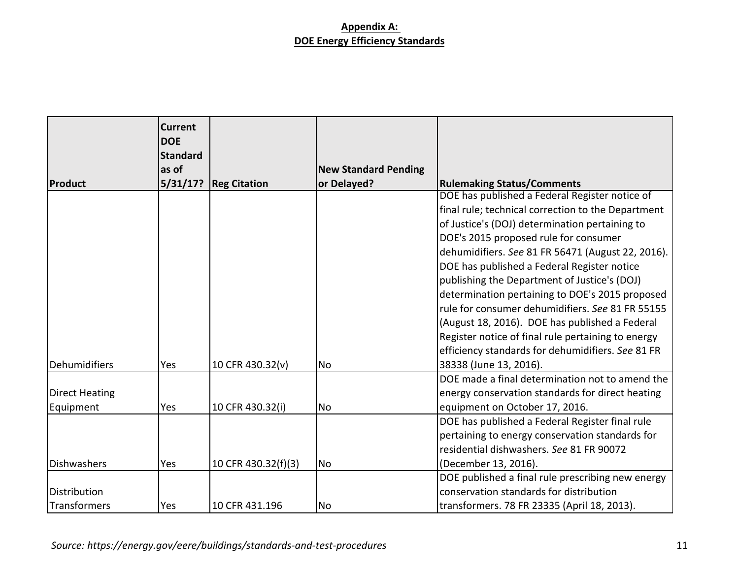|                       | Current<br><b>DOE</b><br><b>Standard</b> |                          |                             |                                                    |
|-----------------------|------------------------------------------|--------------------------|-----------------------------|----------------------------------------------------|
|                       | as of                                    |                          | <b>New Standard Pending</b> |                                                    |
| Product               |                                          | $5/31/17$ ? Reg Citation | or Delayed?                 | <b>Rulemaking Status/Comments</b>                  |
|                       |                                          |                          |                             | DOE has published a Federal Register notice of     |
|                       |                                          |                          |                             | final rule; technical correction to the Department |
|                       |                                          |                          |                             | of Justice's (DOJ) determination pertaining to     |
|                       |                                          |                          |                             | DOE's 2015 proposed rule for consumer              |
|                       |                                          |                          |                             | dehumidifiers. See 81 FR 56471 (August 22, 2016).  |
|                       |                                          |                          |                             | DOE has published a Federal Register notice        |
|                       |                                          |                          |                             | publishing the Department of Justice's (DOJ)       |
|                       |                                          |                          |                             | determination pertaining to DOE's 2015 proposed    |
|                       |                                          |                          |                             | rule for consumer dehumidifiers. See 81 FR 55155   |
|                       |                                          |                          |                             | (August 18, 2016). DOE has published a Federal     |
|                       |                                          |                          |                             | Register notice of final rule pertaining to energy |
|                       |                                          |                          |                             | efficiency standards for dehumidifiers. See 81 FR  |
| Dehumidifiers         | Yes                                      | 10 CFR 430.32(v)         | <b>No</b>                   | 38338 (June 13, 2016).                             |
|                       |                                          |                          |                             | DOE made a final determination not to amend the    |
| <b>Direct Heating</b> |                                          |                          |                             | energy conservation standards for direct heating   |
| Equipment             | Yes                                      | 10 CFR 430.32(i)         | <b>No</b>                   | equipment on October 17, 2016.                     |
|                       |                                          |                          |                             | DOE has published a Federal Register final rule    |
|                       |                                          |                          |                             | pertaining to energy conservation standards for    |
|                       |                                          |                          |                             | residential dishwashers. See 81 FR 90072           |
| Dishwashers           | Yes                                      | 10 CFR 430.32(f)(3)      | <b>No</b>                   | (December 13, 2016).                               |
|                       |                                          |                          |                             | DOE published a final rule prescribing new energy  |
| Distribution          |                                          |                          |                             | conservation standards for distribution            |
| <b>Transformers</b>   | Yes                                      | 10 CFR 431.196           | <b>No</b>                   | transformers. 78 FR 23335 (April 18, 2013).        |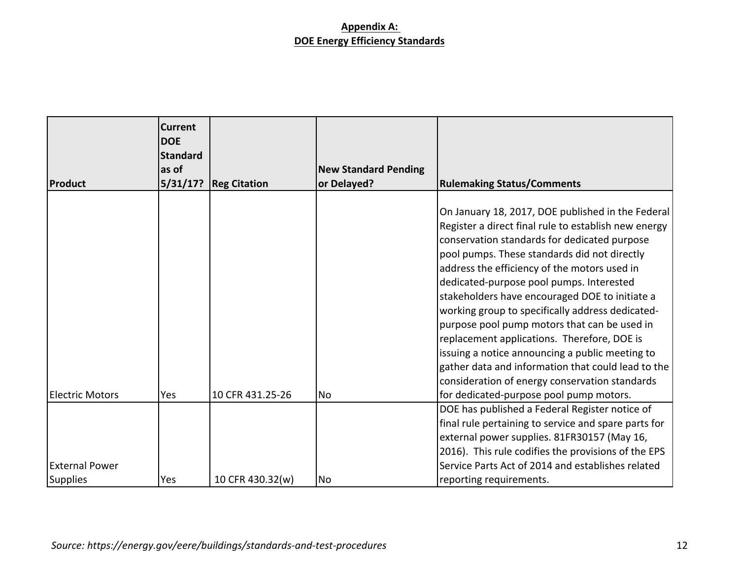|                        | Current<br><b>DOE</b><br><b>Standard</b> |                     |                             |                                                      |
|------------------------|------------------------------------------|---------------------|-----------------------------|------------------------------------------------------|
|                        | as of                                    |                     | <b>New Standard Pending</b> |                                                      |
| Product                | 5/31/17?                                 | <b>Reg Citation</b> | or Delayed?                 | <b>Rulemaking Status/Comments</b>                    |
|                        |                                          |                     |                             |                                                      |
|                        |                                          |                     |                             | On January 18, 2017, DOE published in the Federal    |
|                        |                                          |                     |                             | Register a direct final rule to establish new energy |
|                        |                                          |                     |                             | conservation standards for dedicated purpose         |
|                        |                                          |                     |                             | pool pumps. These standards did not directly         |
|                        |                                          |                     |                             | address the efficiency of the motors used in         |
|                        |                                          |                     |                             | dedicated-purpose pool pumps. Interested             |
|                        |                                          |                     |                             | stakeholders have encouraged DOE to initiate a       |
|                        |                                          |                     |                             | working group to specifically address dedicated-     |
|                        |                                          |                     |                             | purpose pool pump motors that can be used in         |
|                        |                                          |                     |                             | replacement applications. Therefore, DOE is          |
|                        |                                          |                     |                             | issuing a notice announcing a public meeting to      |
|                        |                                          |                     |                             | gather data and information that could lead to the   |
|                        |                                          |                     |                             | consideration of energy conservation standards       |
| <b>Electric Motors</b> | Yes                                      | 10 CFR 431.25-26    | <b>No</b>                   | for dedicated-purpose pool pump motors.              |
|                        |                                          |                     |                             | DOE has published a Federal Register notice of       |
|                        |                                          |                     |                             | final rule pertaining to service and spare parts for |
|                        |                                          |                     |                             | external power supplies. 81FR30157 (May 16,          |
|                        |                                          |                     |                             | 2016). This rule codifies the provisions of the EPS  |
| <b>External Power</b>  |                                          |                     |                             | Service Parts Act of 2014 and establishes related    |
| Supplies               | Yes                                      | 10 CFR 430.32(w)    | No                          | reporting requirements.                              |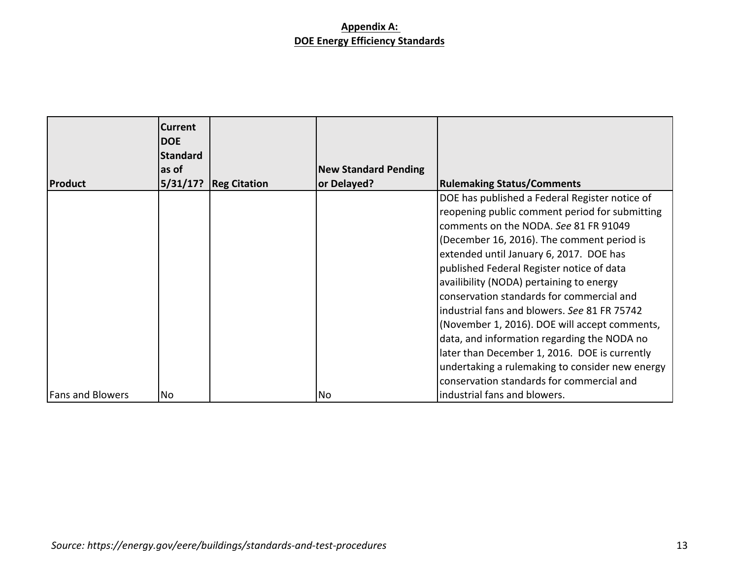|                         | <b>Current</b><br><b>DOE</b><br><b>Standard</b> |                     |                             |                                                                                                                                                                                                                                                                                                                                                                                                                                                                                                                          |
|-------------------------|-------------------------------------------------|---------------------|-----------------------------|--------------------------------------------------------------------------------------------------------------------------------------------------------------------------------------------------------------------------------------------------------------------------------------------------------------------------------------------------------------------------------------------------------------------------------------------------------------------------------------------------------------------------|
|                         | as of                                           |                     | <b>New Standard Pending</b> |                                                                                                                                                                                                                                                                                                                                                                                                                                                                                                                          |
| <b>Product</b>          | 5/31/17?                                        | <b>Reg Citation</b> | or Delayed?                 | <b>Rulemaking Status/Comments</b>                                                                                                                                                                                                                                                                                                                                                                                                                                                                                        |
|                         |                                                 |                     |                             | DOE has published a Federal Register notice of<br>reopening public comment period for submitting<br>comments on the NODA. See 81 FR 91049<br>(December 16, 2016). The comment period is<br>extended until January 6, 2017. DOE has<br>published Federal Register notice of data<br>availibility (NODA) pertaining to energy<br>conservation standards for commercial and<br>industrial fans and blowers. See 81 FR 75742<br>(November 1, 2016). DOE will accept comments,<br>data, and information regarding the NODA no |
| <b>Fans and Blowers</b> | No                                              |                     | <b>No</b>                   | later than December 1, 2016. DOE is currently<br>undertaking a rulemaking to consider new energy<br>conservation standards for commercial and<br>industrial fans and blowers.                                                                                                                                                                                                                                                                                                                                            |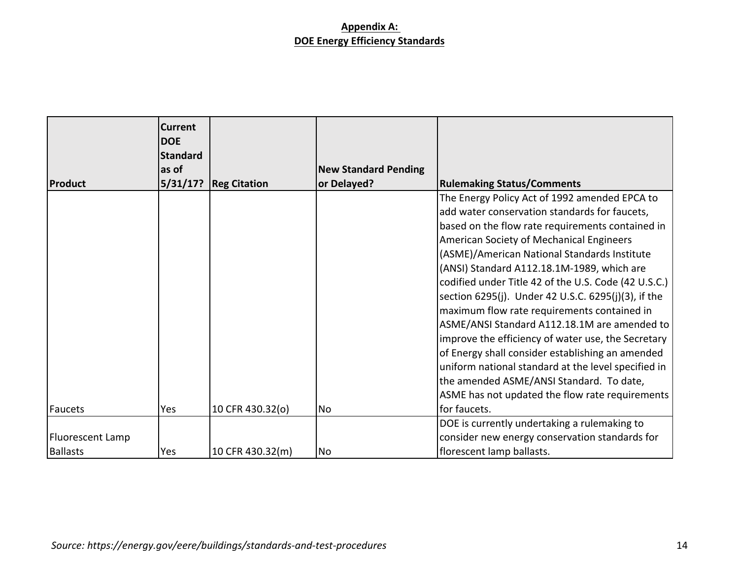|                  | <b>Current</b><br><b>DOE</b><br>Standard |                     |                             |                                                      |
|------------------|------------------------------------------|---------------------|-----------------------------|------------------------------------------------------|
|                  | as of                                    |                     | <b>New Standard Pending</b> |                                                      |
| <b>Product</b>   | 5/31/17?                                 | <b>Reg Citation</b> | or Delayed?                 | <b>Rulemaking Status/Comments</b>                    |
|                  |                                          |                     |                             | The Energy Policy Act of 1992 amended EPCA to        |
|                  |                                          |                     |                             | add water conservation standards for faucets,        |
|                  |                                          |                     |                             | based on the flow rate requirements contained in     |
|                  |                                          |                     |                             | American Society of Mechanical Engineers             |
|                  |                                          |                     |                             | (ASME)/American National Standards Institute         |
|                  |                                          |                     |                             | (ANSI) Standard A112.18.1M-1989, which are           |
|                  |                                          |                     |                             | codified under Title 42 of the U.S. Code (42 U.S.C.) |
|                  |                                          |                     |                             | section 6295(j). Under 42 U.S.C. 6295(j)(3), if the  |
|                  |                                          |                     |                             | maximum flow rate requirements contained in          |
|                  |                                          |                     |                             | ASME/ANSI Standard A112.18.1M are amended to         |
|                  |                                          |                     |                             | improve the efficiency of water use, the Secretary   |
|                  |                                          |                     |                             | of Energy shall consider establishing an amended     |
|                  |                                          |                     |                             | uniform national standard at the level specified in  |
|                  |                                          |                     |                             | the amended ASME/ANSI Standard. To date,             |
|                  |                                          |                     |                             | ASME has not updated the flow rate requirements      |
| Faucets          | Yes                                      | 10 CFR 430.32(o)    | No                          | for faucets.                                         |
|                  |                                          |                     |                             | DOE is currently undertaking a rulemaking to         |
| Fluorescent Lamp |                                          |                     |                             | consider new energy conservation standards for       |
| <b>Ballasts</b>  | Yes                                      | 10 CFR 430.32(m)    | No                          | florescent lamp ballasts.                            |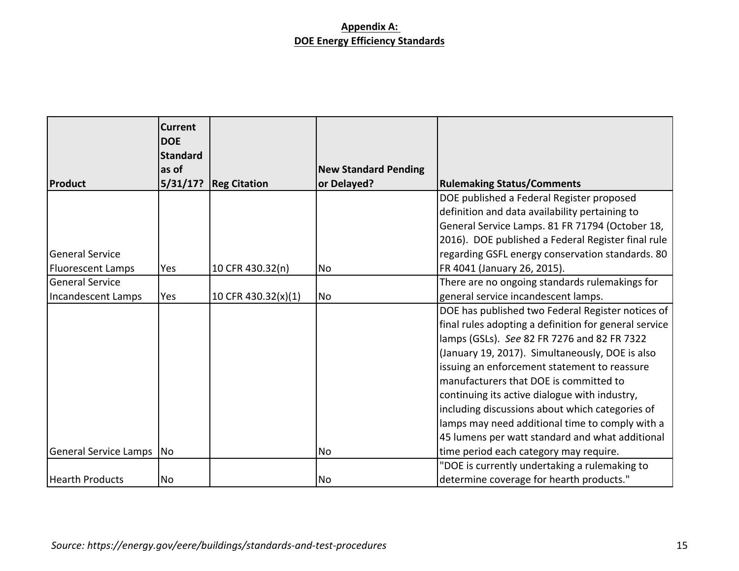|                            | <b>Current</b><br><b>DOE</b> |                     |                             |                                                       |
|----------------------------|------------------------------|---------------------|-----------------------------|-------------------------------------------------------|
|                            | <b>Standard</b><br>as of     |                     | <b>New Standard Pending</b> |                                                       |
| Product                    | 5/31/17?                     | <b>Reg Citation</b> | or Delayed?                 | <b>Rulemaking Status/Comments</b>                     |
|                            |                              |                     |                             | DOE published a Federal Register proposed             |
|                            |                              |                     |                             | definition and data availability pertaining to        |
|                            |                              |                     |                             | General Service Lamps. 81 FR 71794 (October 18,       |
|                            |                              |                     |                             | 2016). DOE published a Federal Register final rule    |
| <b>General Service</b>     |                              |                     |                             | regarding GSFL energy conservation standards. 80      |
| <b>Fluorescent Lamps</b>   | Yes                          | 10 CFR 430.32(n)    | <b>No</b>                   | FR 4041 (January 26, 2015).                           |
| <b>General Service</b>     |                              |                     |                             | There are no ongoing standards rulemakings for        |
| Incandescent Lamps         | Yes                          | 10 CFR 430.32(x)(1) | <b>No</b>                   | general service incandescent lamps.                   |
|                            |                              |                     |                             | DOE has published two Federal Register notices of     |
|                            |                              |                     |                             | final rules adopting a definition for general service |
|                            |                              |                     |                             | lamps (GSLs). See 82 FR 7276 and 82 FR 7322           |
|                            |                              |                     |                             | (January 19, 2017). Simultaneously, DOE is also       |
|                            |                              |                     |                             | issuing an enforcement statement to reassure          |
|                            |                              |                     |                             | manufacturers that DOE is committed to                |
|                            |                              |                     |                             | continuing its active dialogue with industry,         |
|                            |                              |                     |                             | including discussions about which categories of       |
|                            |                              |                     |                             | lamps may need additional time to comply with a       |
|                            |                              |                     |                             | 45 lumens per watt standard and what additional       |
| General Service Lamps   No |                              |                     | <b>No</b>                   | time period each category may require.                |
|                            |                              |                     |                             | "DOE is currently undertaking a rulemaking to         |
| Hearth Products            | No                           |                     | No                          | determine coverage for hearth products."              |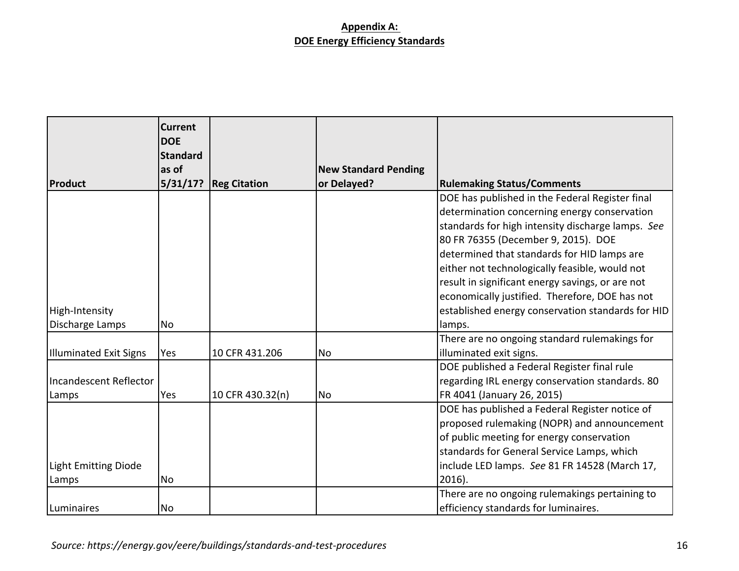|                             | <b>Current</b><br><b>DOE</b> |                     |                                            |                                                   |
|-----------------------------|------------------------------|---------------------|--------------------------------------------|---------------------------------------------------|
|                             | <b>Standard</b><br>as of     |                     |                                            |                                                   |
| Product                     | 5/31/17?                     | <b>Reg Citation</b> | <b>New Standard Pending</b><br>or Delayed? | <b>Rulemaking Status/Comments</b>                 |
|                             |                              |                     |                                            | DOE has published in the Federal Register final   |
|                             |                              |                     |                                            | determination concerning energy conservation      |
|                             |                              |                     |                                            | standards for high intensity discharge lamps. See |
|                             |                              |                     |                                            |                                                   |
|                             |                              |                     |                                            | 80 FR 76355 (December 9, 2015). DOE               |
|                             |                              |                     |                                            | determined that standards for HID lamps are       |
|                             |                              |                     |                                            | either not technologically feasible, would not    |
|                             |                              |                     |                                            | result in significant energy savings, or are not  |
|                             |                              |                     |                                            | economically justified. Therefore, DOE has not    |
| High-Intensity              |                              |                     |                                            | established energy conservation standards for HID |
| Discharge Lamps             | No                           |                     |                                            | lamps.                                            |
|                             |                              |                     |                                            | There are no ongoing standard rulemakings for     |
| Illuminated Exit Signs      | Yes                          | 10 CFR 431.206      | <b>No</b>                                  | illuminated exit signs.                           |
|                             |                              |                     |                                            | DOE published a Federal Register final rule       |
| Incandescent Reflector      |                              |                     |                                            | regarding IRL energy conservation standards. 80   |
| Lamps                       | Yes                          | 10 CFR 430.32(n)    | <b>No</b>                                  | FR 4041 (January 26, 2015)                        |
|                             |                              |                     |                                            | DOE has published a Federal Register notice of    |
|                             |                              |                     |                                            | proposed rulemaking (NOPR) and announcement       |
|                             |                              |                     |                                            | of public meeting for energy conservation         |
|                             |                              |                     |                                            | standards for General Service Lamps, which        |
| <b>Light Emitting Diode</b> |                              |                     |                                            | include LED lamps. See 81 FR 14528 (March 17,     |
| Lamps                       | No                           |                     |                                            | $2016$ ).                                         |
|                             |                              |                     |                                            | There are no ongoing rulemakings pertaining to    |
| Luminaires                  | No                           |                     |                                            | efficiency standards for luminaires.              |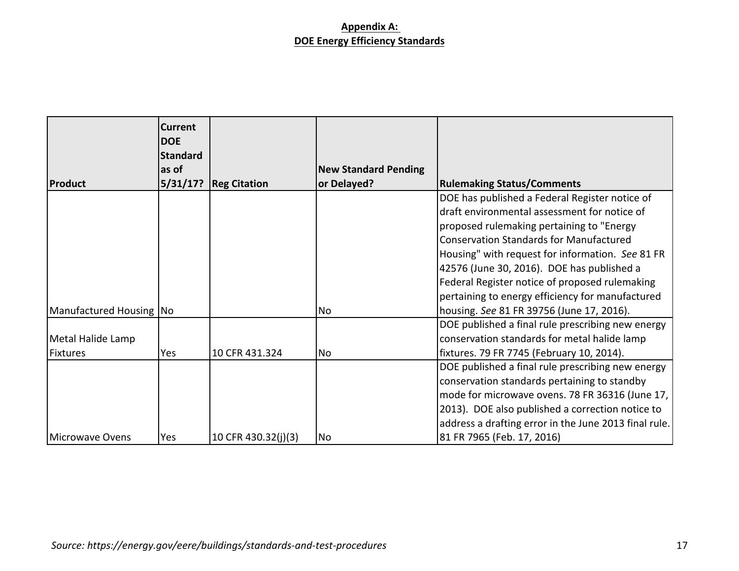|                         | <b>Current</b><br><b>DOE</b><br><b>Standard</b><br>as of |                     | <b>New Standard Pending</b> |                                                       |
|-------------------------|----------------------------------------------------------|---------------------|-----------------------------|-------------------------------------------------------|
| Product                 | 5/31/17?                                                 | <b>Reg Citation</b> | or Delayed?                 | <b>Rulemaking Status/Comments</b>                     |
|                         |                                                          |                     |                             | DOE has published a Federal Register notice of        |
|                         |                                                          |                     |                             | draft environmental assessment for notice of          |
|                         |                                                          |                     |                             | proposed rulemaking pertaining to "Energy             |
|                         |                                                          |                     |                             | <b>Conservation Standards for Manufactured</b>        |
|                         |                                                          |                     |                             | Housing" with request for information. See 81 FR      |
|                         |                                                          |                     |                             | 42576 (June 30, 2016). DOE has published a            |
|                         |                                                          |                     |                             | Federal Register notice of proposed rulemaking        |
|                         |                                                          |                     |                             | pertaining to energy efficiency for manufactured      |
| Manufactured Housing No |                                                          |                     | No                          | housing. See 81 FR 39756 (June 17, 2016).             |
|                         |                                                          |                     |                             | DOE published a final rule prescribing new energy     |
| Metal Halide Lamp       |                                                          |                     |                             | conservation standards for metal halide lamp          |
| Fixtures                | Yes                                                      | 10 CFR 431.324      | No                          | fixtures. 79 FR 7745 (February 10, 2014).             |
|                         |                                                          |                     |                             | DOE published a final rule prescribing new energy     |
|                         |                                                          |                     |                             | conservation standards pertaining to standby          |
|                         |                                                          |                     |                             | mode for microwave ovens. 78 FR 36316 (June 17,       |
|                         |                                                          |                     |                             | 2013). DOE also published a correction notice to      |
|                         |                                                          |                     |                             | address a drafting error in the June 2013 final rule. |
| Microwave Ovens         | Yes                                                      | 10 CFR 430.32(j)(3) | No                          | 81 FR 7965 (Feb. 17, 2016)                            |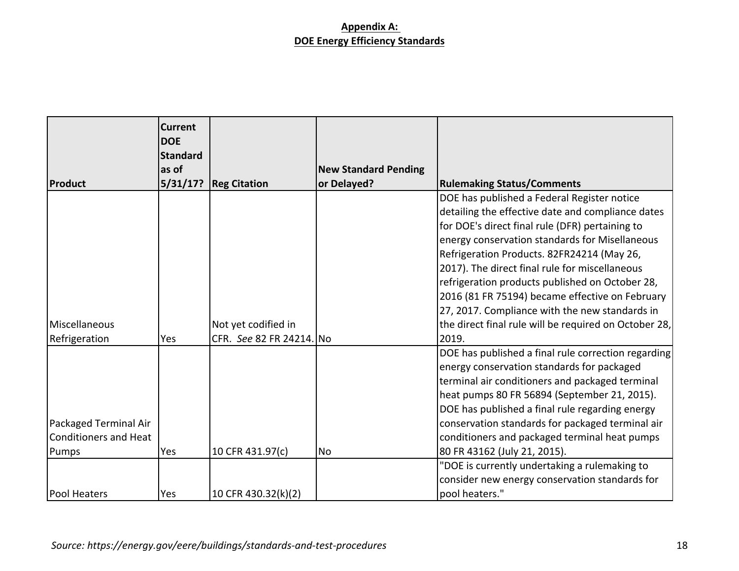|                       | <b>Current</b><br><b>DOE</b><br><b>Standard</b> |                          |                             |                                                       |
|-----------------------|-------------------------------------------------|--------------------------|-----------------------------|-------------------------------------------------------|
|                       | as of                                           |                          | <b>New Standard Pending</b> |                                                       |
| Product               | 5/31/17?                                        | <b>Reg Citation</b>      | or Delayed?                 | <b>Rulemaking Status/Comments</b>                     |
|                       |                                                 |                          |                             | DOE has published a Federal Register notice           |
|                       |                                                 |                          |                             | detailing the effective date and compliance dates     |
|                       |                                                 |                          |                             | for DOE's direct final rule (DFR) pertaining to       |
|                       |                                                 |                          |                             | energy conservation standards for Misellaneous        |
|                       |                                                 |                          |                             | Refrigeration Products. 82FR24214 (May 26,            |
|                       |                                                 |                          |                             | 2017). The direct final rule for miscellaneous        |
|                       |                                                 |                          |                             | refrigeration products published on October 28,       |
|                       |                                                 |                          |                             | 2016 (81 FR 75194) became effective on February       |
|                       |                                                 |                          |                             | 27, 2017. Compliance with the new standards in        |
| Miscellaneous         |                                                 | Not yet codified in      |                             | the direct final rule will be required on October 28, |
| Refrigeration         | Yes                                             | CFR. See 82 FR 24214. No |                             | 2019.                                                 |
|                       |                                                 |                          |                             | DOE has published a final rule correction regarding   |
|                       |                                                 |                          |                             | energy conservation standards for packaged            |
|                       |                                                 |                          |                             | terminal air conditioners and packaged terminal       |
|                       |                                                 |                          |                             | heat pumps 80 FR 56894 (September 21, 2015).          |
|                       |                                                 |                          |                             | DOE has published a final rule regarding energy       |
| Packaged Terminal Air |                                                 |                          |                             | conservation standards for packaged terminal air      |
| Conditioners and Heat |                                                 |                          |                             | conditioners and packaged terminal heat pumps         |
| Pumps                 | Yes                                             | 10 CFR 431.97(c)         | <b>No</b>                   | 80 FR 43162 (July 21, 2015).                          |
|                       |                                                 |                          |                             | "DOE is currently undertaking a rulemaking to         |
|                       |                                                 |                          |                             | consider new energy conservation standards for        |
| <b>Pool Heaters</b>   | Yes                                             | 10 CFR 430.32(k)(2)      |                             | pool heaters."                                        |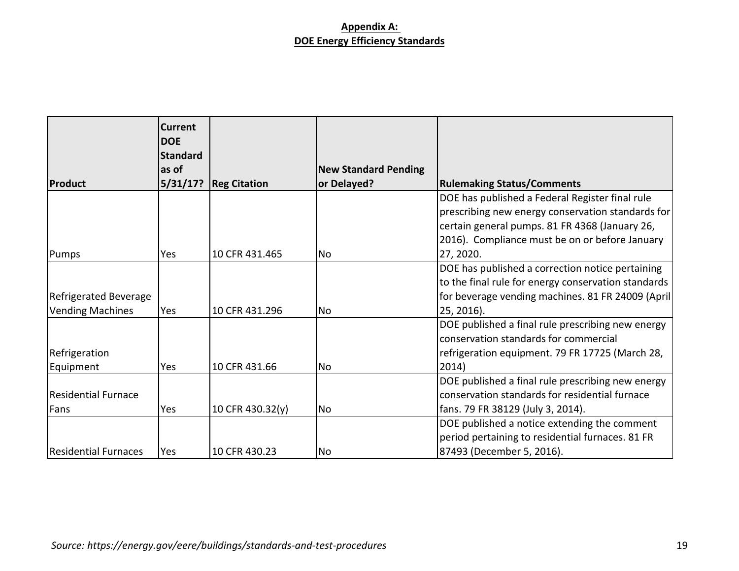|                         | <b>Current</b><br><b>DOE</b> |                     |                             |                                                     |
|-------------------------|------------------------------|---------------------|-----------------------------|-----------------------------------------------------|
|                         | Standard                     |                     |                             |                                                     |
|                         | as of                        |                     | <b>New Standard Pending</b> |                                                     |
| Product                 | 5/31/17?                     | <b>Reg Citation</b> | or Delayed?                 | <b>Rulemaking Status/Comments</b>                   |
|                         |                              |                     |                             | DOE has published a Federal Register final rule     |
|                         |                              |                     |                             | prescribing new energy conservation standards for   |
|                         |                              |                     |                             | certain general pumps. 81 FR 4368 (January 26,      |
|                         |                              |                     |                             | 2016). Compliance must be on or before January      |
| Pumps                   | Yes                          | 10 CFR 431.465      | No                          | 27, 2020.                                           |
|                         |                              |                     |                             | DOE has published a correction notice pertaining    |
|                         |                              |                     |                             | to the final rule for energy conservation standards |
| Refrigerated Beverage   |                              |                     |                             | for beverage vending machines. 81 FR 24009 (April)  |
| <b>Vending Machines</b> | Yes                          | 10 CFR 431.296      | No                          | 25, 2016).                                          |
|                         |                              |                     |                             | DOE published a final rule prescribing new energy   |
|                         |                              |                     |                             | conservation standards for commercial               |
| Refrigeration           |                              |                     |                             | refrigeration equipment. 79 FR 17725 (March 28,     |
| Equipment               | Yes                          | 10 CFR 431.66       | <b>No</b>                   | 2014)                                               |
|                         |                              |                     |                             | DOE published a final rule prescribing new energy   |
| Residential Furnace     |                              |                     |                             | conservation standards for residential furnace      |
| Fans                    | Yes                          | 10 CFR 430.32(y)    | No                          | fans. 79 FR 38129 (July 3, 2014).                   |
|                         |                              |                     |                             | DOE published a notice extending the comment        |
|                         |                              |                     |                             | period pertaining to residential furnaces. 81 FR    |
| Residential Furnaces    | <b>Yes</b>                   | 10 CFR 430.23       | No                          | 87493 (December 5, 2016).                           |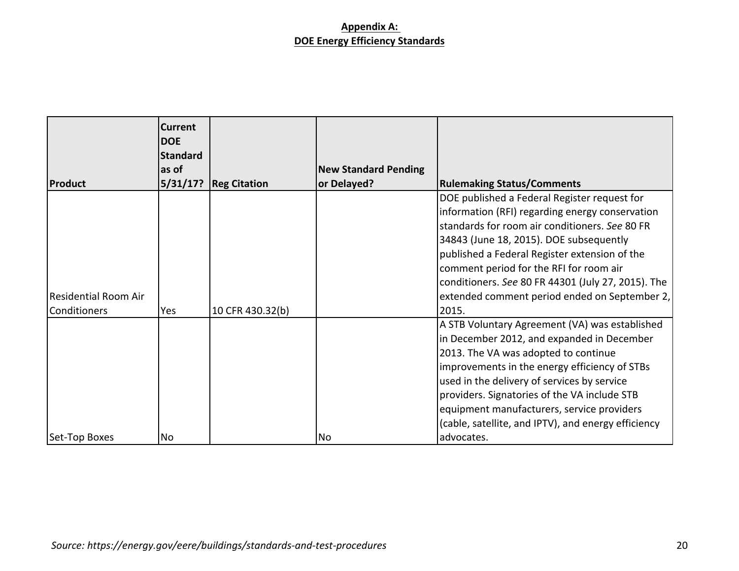|                                                    | <b>Current</b><br><b>DOE</b><br><b>Standard</b><br>as of |                     | <b>New Standard Pending</b> |                                                                                                                                                                                                                                                                                                                                                                                                          |
|----------------------------------------------------|----------------------------------------------------------|---------------------|-----------------------------|----------------------------------------------------------------------------------------------------------------------------------------------------------------------------------------------------------------------------------------------------------------------------------------------------------------------------------------------------------------------------------------------------------|
| <b>Product</b>                                     | 5/31/17?                                                 | <b>Reg Citation</b> | or Delayed?                 | <b>Rulemaking Status/Comments</b>                                                                                                                                                                                                                                                                                                                                                                        |
| <b>Residential Room Air</b><br><b>Conditioners</b> | Yes                                                      | 10 CFR 430.32(b)    |                             | DOE published a Federal Register request for<br>information (RFI) regarding energy conservation<br>standards for room air conditioners. See 80 FR<br>34843 (June 18, 2015). DOE subsequently<br>published a Federal Register extension of the<br>comment period for the RFI for room air<br>conditioners. See 80 FR 44301 (July 27, 2015). The<br>extended comment period ended on September 2,<br>2015. |
|                                                    |                                                          |                     |                             | A STB Voluntary Agreement (VA) was established<br>in December 2012, and expanded in December<br>2013. The VA was adopted to continue<br>improvements in the energy efficiency of STBs<br>used in the delivery of services by service<br>providers. Signatories of the VA include STB<br>equipment manufacturers, service providers<br>(cable, satellite, and IPTV), and energy efficiency                |
| Set-Top Boxes                                      | No                                                       |                     | <b>No</b>                   | advocates.                                                                                                                                                                                                                                                                                                                                                                                               |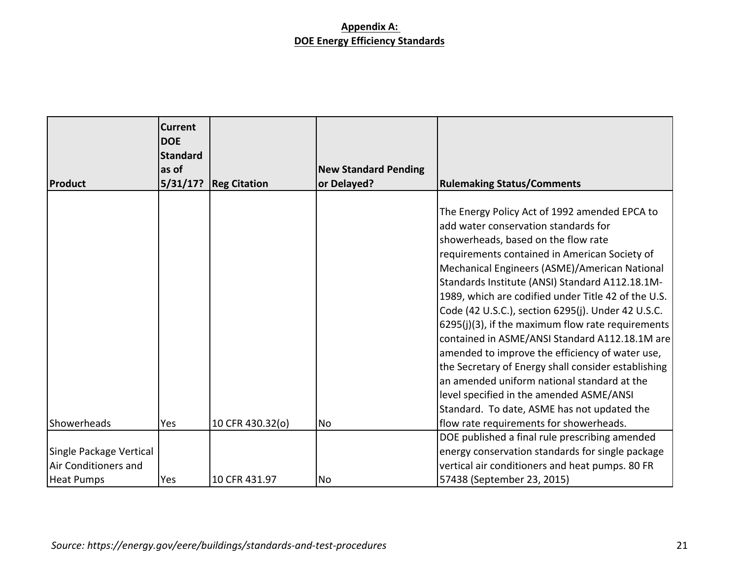|                         | <b>Current</b><br><b>DOE</b><br>Standard |                     |                             |                                                                                                                                                                                                                                                                                                                                                                                                                                                                                                                                                                                                                                                                                                                                                           |
|-------------------------|------------------------------------------|---------------------|-----------------------------|-----------------------------------------------------------------------------------------------------------------------------------------------------------------------------------------------------------------------------------------------------------------------------------------------------------------------------------------------------------------------------------------------------------------------------------------------------------------------------------------------------------------------------------------------------------------------------------------------------------------------------------------------------------------------------------------------------------------------------------------------------------|
|                         | as of                                    |                     | <b>New Standard Pending</b> |                                                                                                                                                                                                                                                                                                                                                                                                                                                                                                                                                                                                                                                                                                                                                           |
| Product                 | 5/31/17?                                 | <b>Reg Citation</b> | or Delayed?                 | <b>Rulemaking Status/Comments</b>                                                                                                                                                                                                                                                                                                                                                                                                                                                                                                                                                                                                                                                                                                                         |
|                         |                                          |                     |                             | The Energy Policy Act of 1992 amended EPCA to<br>add water conservation standards for<br>showerheads, based on the flow rate<br>requirements contained in American Society of<br>Mechanical Engineers (ASME)/American National<br>Standards Institute (ANSI) Standard A112.18.1M-<br>1989, which are codified under Title 42 of the U.S.<br>Code (42 U.S.C.), section 6295(j). Under 42 U.S.C.<br>6295(j)(3), if the maximum flow rate requirements<br>contained in ASME/ANSI Standard A112.18.1M are<br>amended to improve the efficiency of water use,<br>the Secretary of Energy shall consider establishing<br>an amended uniform national standard at the<br>level specified in the amended ASME/ANSI<br>Standard. To date, ASME has not updated the |
| <b>I</b> Showerheads    | Yes                                      | 10 CFR 430.32(o)    | <b>No</b>                   | flow rate requirements for showerheads.                                                                                                                                                                                                                                                                                                                                                                                                                                                                                                                                                                                                                                                                                                                   |
|                         |                                          |                     |                             | DOE published a final rule prescribing amended                                                                                                                                                                                                                                                                                                                                                                                                                                                                                                                                                                                                                                                                                                            |
| Single Package Vertical |                                          |                     |                             | energy conservation standards for single package                                                                                                                                                                                                                                                                                                                                                                                                                                                                                                                                                                                                                                                                                                          |
| Air Conditioners and    |                                          |                     |                             | vertical air conditioners and heat pumps. 80 FR                                                                                                                                                                                                                                                                                                                                                                                                                                                                                                                                                                                                                                                                                                           |
| Heat Pumps              | Yes                                      | 10 CFR 431.97       | No                          | 57438 (September 23, 2015)                                                                                                                                                                                                                                                                                                                                                                                                                                                                                                                                                                                                                                                                                                                                |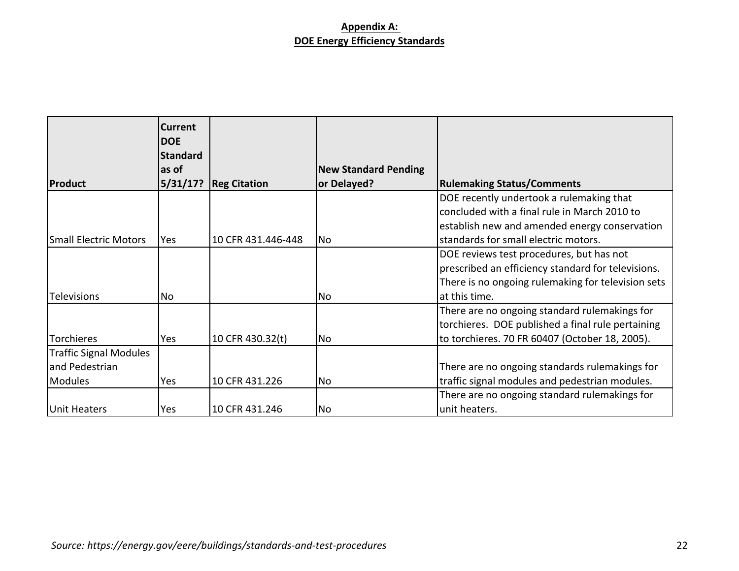|                               | Current<br><b>DOE</b> |                     |                             |                                                    |
|-------------------------------|-----------------------|---------------------|-----------------------------|----------------------------------------------------|
|                               | <b>Standard</b>       |                     |                             |                                                    |
|                               | as of                 |                     | <b>New Standard Pending</b> |                                                    |
| Product                       | 5/31/17?              | <b>Reg Citation</b> | or Delayed?                 | <b>Rulemaking Status/Comments</b>                  |
|                               |                       |                     |                             | DOE recently undertook a rulemaking that           |
|                               |                       |                     |                             | concluded with a final rule in March 2010 to       |
|                               |                       |                     |                             | establish new and amended energy conservation      |
| Small Electric Motors         | <b>Yes</b>            | 10 CFR 431.446-448  | No                          | standards for small electric motors.               |
|                               |                       |                     |                             | DOE reviews test procedures, but has not           |
|                               |                       |                     |                             | prescribed an efficiency standard for televisions. |
|                               |                       |                     |                             | There is no ongoing rulemaking for television sets |
| <b>Televisions</b>            | No                    |                     | No                          | at this time.                                      |
|                               |                       |                     |                             | There are no ongoing standard rulemakings for      |
|                               |                       |                     |                             | torchieres. DOE published a final rule pertaining  |
| <b>Torchieres</b>             | Yes                   | 10 CFR 430.32(t)    | No                          | to torchieres. 70 FR 60407 (October 18, 2005).     |
| <b>Traffic Signal Modules</b> |                       |                     |                             |                                                    |
| and Pedestrian                |                       |                     |                             | There are no ongoing standards rulemakings for     |
| <b>Modules</b>                | Yes                   | 10 CFR 431.226      | No                          | traffic signal modules and pedestrian modules.     |
|                               |                       |                     |                             | There are no ongoing standard rulemakings for      |
| Unit Heaters                  | Yes                   | 10 CFR 431.246      | No                          | unit heaters.                                      |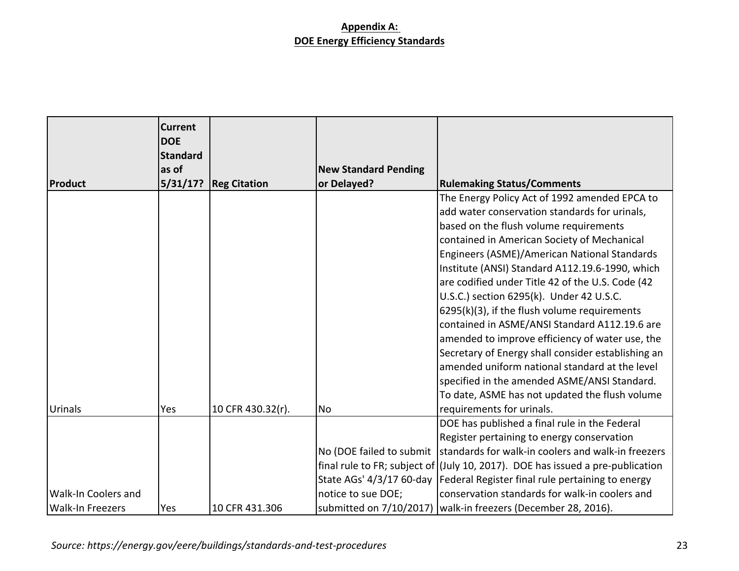|                         | Current<br><b>DOE</b><br><b>Standard</b> |                     |                             |                                                                                   |
|-------------------------|------------------------------------------|---------------------|-----------------------------|-----------------------------------------------------------------------------------|
|                         | as of                                    |                     | <b>New Standard Pending</b> |                                                                                   |
| Product                 | 5/31/17?                                 | <b>Reg Citation</b> | or Delayed?                 | <b>Rulemaking Status/Comments</b>                                                 |
|                         |                                          |                     |                             | The Energy Policy Act of 1992 amended EPCA to                                     |
|                         |                                          |                     |                             | add water conservation standards for urinals,                                     |
|                         |                                          |                     |                             | based on the flush volume requirements                                            |
|                         |                                          |                     |                             | contained in American Society of Mechanical                                       |
|                         |                                          |                     |                             | Engineers (ASME)/American National Standards                                      |
|                         |                                          |                     |                             | Institute (ANSI) Standard A112.19.6-1990, which                                   |
|                         |                                          |                     |                             | are codified under Title 42 of the U.S. Code (42                                  |
|                         |                                          |                     |                             | U.S.C.) section 6295(k). Under 42 U.S.C.                                          |
|                         |                                          |                     |                             | 6295(k)(3), if the flush volume requirements                                      |
|                         |                                          |                     |                             | contained in ASME/ANSI Standard A112.19.6 are                                     |
|                         |                                          |                     |                             | amended to improve efficiency of water use, the                                   |
|                         |                                          |                     |                             | Secretary of Energy shall consider establishing an                                |
|                         |                                          |                     |                             | amended uniform national standard at the level                                    |
|                         |                                          |                     |                             | specified in the amended ASME/ANSI Standard.                                      |
|                         |                                          |                     |                             | To date, ASME has not updated the flush volume                                    |
| Urinals                 | Yes                                      | 10 CFR 430.32(r).   | <b>No</b>                   | requirements for urinals.                                                         |
|                         |                                          |                     |                             | DOE has published a final rule in the Federal                                     |
|                         |                                          |                     |                             | Register pertaining to energy conservation                                        |
|                         |                                          |                     | No (DOE failed to submit    | standards for walk-in coolers and walk-in freezers                                |
|                         |                                          |                     |                             | final rule to FR; subject of $($ July 10, 2017). DOE has issued a pre-publication |
|                         |                                          |                     | State AGs' 4/3/17 60-day    | Federal Register final rule pertaining to energy                                  |
| Walk-In Coolers and     |                                          |                     | notice to sue DOE;          | conservation standards for walk-in coolers and                                    |
| <b>Walk-In Freezers</b> | Yes                                      | 10 CFR 431.306      | submitted on 7/10/2017)     | walk-in freezers (December 28, 2016).                                             |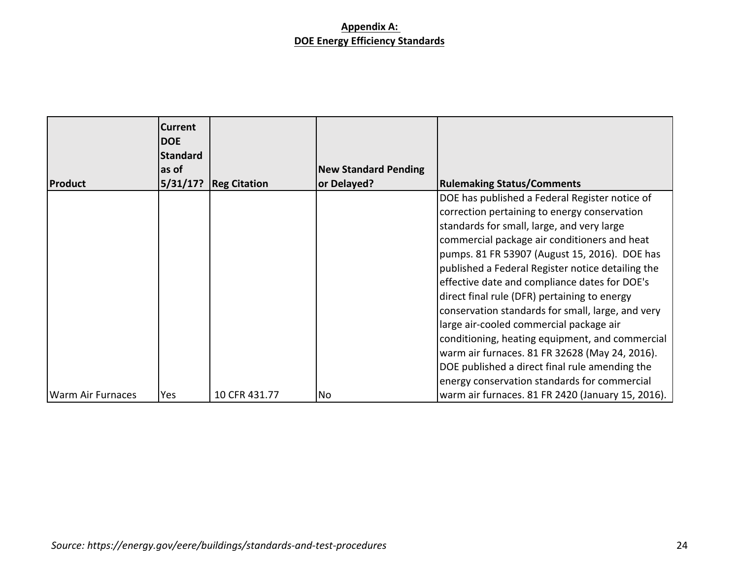|                   | <b>Current</b><br><b>DOE</b><br><b>Standard</b> |                     |                             |                                                   |
|-------------------|-------------------------------------------------|---------------------|-----------------------------|---------------------------------------------------|
|                   | as of                                           |                     | <b>New Standard Pending</b> |                                                   |
| Product           | 5/31/17?                                        | <b>Reg Citation</b> | or Delayed?                 | <b>Rulemaking Status/Comments</b>                 |
|                   |                                                 |                     |                             | DOE has published a Federal Register notice of    |
|                   |                                                 |                     |                             | correction pertaining to energy conservation      |
|                   |                                                 |                     |                             | standards for small, large, and very large        |
|                   |                                                 |                     |                             | commercial package air conditioners and heat      |
|                   |                                                 |                     |                             | pumps. 81 FR 53907 (August 15, 2016). DOE has     |
|                   |                                                 |                     |                             | published a Federal Register notice detailing the |
|                   |                                                 |                     |                             | effective date and compliance dates for DOE's     |
|                   |                                                 |                     |                             | direct final rule (DFR) pertaining to energy      |
|                   |                                                 |                     |                             | conservation standards for small, large, and very |
|                   |                                                 |                     |                             | large air-cooled commercial package air           |
|                   |                                                 |                     |                             | conditioning, heating equipment, and commercial   |
|                   |                                                 |                     |                             | warm air furnaces. 81 FR 32628 (May 24, 2016).    |
|                   |                                                 |                     |                             | DOE published a direct final rule amending the    |
|                   |                                                 |                     |                             | energy conservation standards for commercial      |
| Warm Air Furnaces | Yes                                             | 10 CFR 431.77       | No                          | warm air furnaces. 81 FR 2420 (January 15, 2016). |